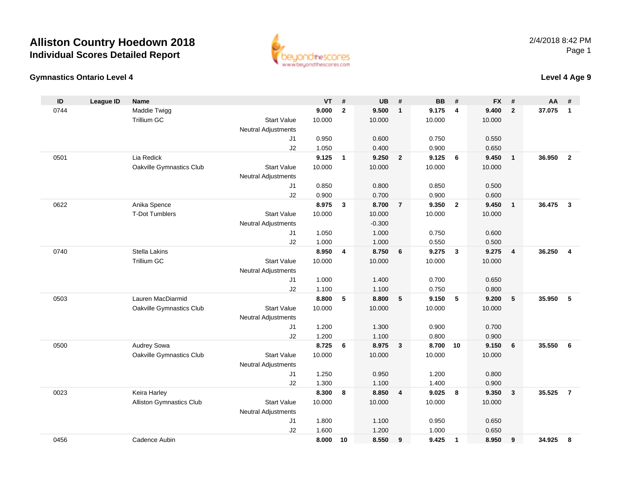

#### **Gymnastics Ontario Level 4**

### **Level 4 Age 9**

| ID   | <b>League ID</b> | <b>Name</b>                     |                            | <b>VT</b>      | #            | <b>UB</b>      | #               | <b>BB</b>      | #            | <b>FX</b>      | #              | AA     | #              |
|------|------------------|---------------------------------|----------------------------|----------------|--------------|----------------|-----------------|----------------|--------------|----------------|----------------|--------|----------------|
| 0744 |                  | Maddie Twigg                    |                            | 9.000          | $\mathbf{2}$ | 9.500          | $\mathbf{1}$    | 9.175          | 4            | 9.400          | $\overline{2}$ | 37.075 | $\mathbf{1}$   |
|      |                  | <b>Trillium GC</b>              | <b>Start Value</b>         | 10.000         |              | 10.000         |                 | 10.000         |              | 10.000         |                |        |                |
|      |                  |                                 | Neutral Adjustments        |                |              |                |                 |                |              |                |                |        |                |
|      |                  |                                 | J1                         | 0.950          |              | 0.600          |                 | 0.750          |              | 0.550          |                |        |                |
|      |                  |                                 | J2                         | 1.050          |              | 0.400          |                 | 0.900          |              | 0.650          |                |        |                |
| 0501 |                  | Lia Redick                      |                            | 9.125          | $\mathbf{1}$ | 9.250          | $\overline{2}$  | 9.125          | 6            | 9.450          | $\overline{1}$ | 36.950 | $\overline{2}$ |
|      |                  | Oakville Gymnastics Club        | <b>Start Value</b>         | 10.000         |              | 10.000         |                 | 10.000         |              | 10.000         |                |        |                |
|      |                  |                                 | Neutral Adjustments        |                |              |                |                 |                |              |                |                |        |                |
|      |                  |                                 | J1                         | 0.850          |              | 0.800          |                 | 0.850          |              | 0.500          |                |        |                |
|      |                  |                                 | J2                         | 0.900          |              | 0.700          |                 | 0.900          |              | 0.600          |                |        |                |
| 0622 |                  | Anika Spence                    |                            | 8.975          | $\mathbf{3}$ | 8.700          | $\overline{7}$  | 9.350          | $\mathbf{2}$ | 9.450          | $\overline{1}$ | 36.475 | $\mathbf{3}$   |
|      |                  | <b>T-Dot Tumblers</b>           | <b>Start Value</b>         | 10.000         |              | 10.000         |                 | 10.000         |              | 10.000         |                |        |                |
|      |                  |                                 | Neutral Adjustments        |                |              | $-0.300$       |                 |                |              |                |                |        |                |
|      |                  |                                 | J <sub>1</sub>             | 1.050          |              | 1.000          |                 | 0.750          |              | 0.600          |                |        |                |
|      |                  |                                 | J2                         | 1.000          |              | 1.000          |                 | 0.550          |              | 0.500          |                |        |                |
| 0740 |                  | <b>Stella Lakins</b>            |                            | 8.950          | 4            | 8.750          | 6               | 9.275          | $\mathbf{3}$ | 9.275          | $\overline{4}$ | 36.250 | $\overline{4}$ |
|      |                  | <b>Trillium GC</b>              | <b>Start Value</b>         | 10.000         |              | 10.000         |                 | 10.000         |              | 10.000         |                |        |                |
|      |                  |                                 | <b>Neutral Adjustments</b> |                |              |                |                 |                |              |                |                |        |                |
|      |                  |                                 | J <sub>1</sub>             | 1.000          |              | 1.400          |                 | 0.700          |              | 0.650          |                |        |                |
| 0503 |                  | Lauren MacDiarmid               | J2                         | 1.100<br>8.800 | 5            | 1.100<br>8.800 | $5\phantom{.0}$ | 0.750<br>9.150 | 5            | 0.800<br>9.200 | 5              | 35.950 | -5             |
|      |                  | Oakville Gymnastics Club        | <b>Start Value</b>         | 10.000         |              | 10.000         |                 | 10.000         |              | 10.000         |                |        |                |
|      |                  |                                 | <b>Neutral Adjustments</b> |                |              |                |                 |                |              |                |                |        |                |
|      |                  |                                 | J <sub>1</sub>             | 1.200          |              | 1.300          |                 | 0.900          |              | 0.700          |                |        |                |
|      |                  |                                 | J2                         | 1.200          |              | 1.100          |                 | 0.800          |              | 0.900          |                |        |                |
| 0500 |                  | Audrey Sowa                     |                            | 8.725          | 6            | 8.975          | $\mathbf{3}$    | 8.700          | 10           | 9.150          | 6              | 35.550 | 6              |
|      |                  | Oakville Gymnastics Club        | <b>Start Value</b>         | 10.000         |              | 10.000         |                 | 10.000         |              | 10.000         |                |        |                |
|      |                  |                                 | <b>Neutral Adjustments</b> |                |              |                |                 |                |              |                |                |        |                |
|      |                  |                                 | J <sub>1</sub>             | 1.250          |              | 0.950          |                 | 1.200          |              | 0.800          |                |        |                |
|      |                  |                                 | J2                         | 1.300          |              | 1.100          |                 | 1.400          |              | 0.900          |                |        |                |
| 0023 |                  | Keira Harley                    |                            | 8.300          | 8            | 8.850          | 4               | 9.025          | 8            | 9.350          | $\mathbf{3}$   | 35.525 | $\overline{7}$ |
|      |                  | <b>Alliston Gymnastics Club</b> | <b>Start Value</b>         | 10.000         |              | 10.000         |                 | 10.000         |              | 10.000         |                |        |                |
|      |                  |                                 | <b>Neutral Adjustments</b> |                |              |                |                 |                |              |                |                |        |                |
|      |                  |                                 | J1                         | 1.800          |              | 1.100          |                 | 0.950          |              | 0.650          |                |        |                |
|      |                  |                                 | J2                         | 1.600          |              | 1.200          |                 | 1.000          |              | 0.650          |                |        |                |
| 0456 |                  | Cadence Aubin                   |                            | 8.000          | 10           | 8.550          | 9               | 9.425          | $\mathbf{1}$ | 8.950          | 9              | 34.925 | 8              |
|      |                  |                                 |                            |                |              |                |                 |                |              |                |                |        |                |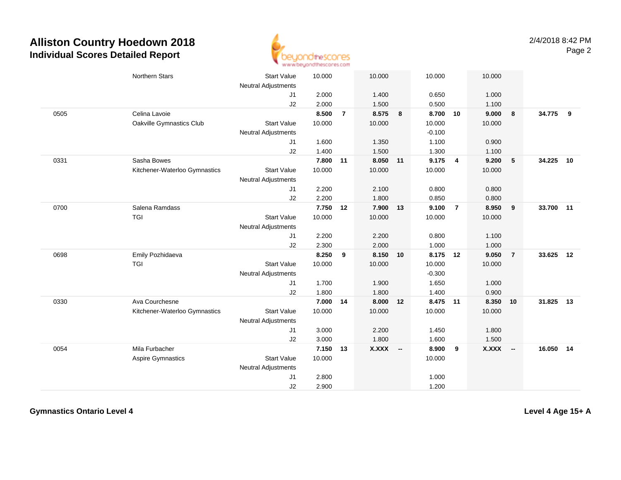

|      | <b>Northern Stars</b>         | <b>Start Value</b>               | 10.000 |                | 10.000   |    | 10.000   |                         | 10.000       |                |           |    |
|------|-------------------------------|----------------------------------|--------|----------------|----------|----|----------|-------------------------|--------------|----------------|-----------|----|
|      |                               | <b>Neutral Adjustments</b>       |        |                |          |    |          |                         |              |                |           |    |
|      |                               | J <sub>1</sub>                   | 2.000  |                | 1.400    |    | 0.650    |                         | 1.000        |                |           |    |
|      |                               | J2                               | 2.000  |                | 1.500    |    | 0.500    |                         | 1.100        |                |           |    |
| 0505 | Celina Lavoie                 |                                  | 8.500  | $\overline{7}$ | 8.575    | 8  | 8.700 10 |                         | 9.000        | 8              | 34.775    | 9  |
|      | Oakville Gymnastics Club      | <b>Start Value</b>               | 10.000 |                | 10.000   |    | 10.000   |                         | 10.000       |                |           |    |
|      |                               | <b>Neutral Adjustments</b>       |        |                |          |    | $-0.100$ |                         |              |                |           |    |
|      |                               | J1                               | 1.600  |                | 1.350    |    | 1.100    |                         | 0.900        |                |           |    |
|      |                               | J2                               | 1.400  |                | 1.500    |    | 1.300    |                         | 1.100        |                |           |    |
| 0331 | Sasha Bowes                   |                                  | 7.800  | 11             | 8.050 11 |    | 9.175    | $\overline{\mathbf{4}}$ | 9.200        | $5\phantom{1}$ | 34.225    | 10 |
|      | Kitchener-Waterloo Gymnastics | <b>Start Value</b>               | 10.000 |                | 10.000   |    | 10.000   |                         | 10.000       |                |           |    |
|      |                               | <b>Neutral Adjustments</b>       |        |                |          |    |          |                         |              |                |           |    |
|      |                               | J1                               | 2.200  |                | 2.100    |    | 0.800    |                         | 0.800        |                |           |    |
|      |                               | J2                               | 2.200  |                | 1.800    |    | 0.850    |                         | 0.800        |                |           |    |
| 0700 | Salena Ramdass                |                                  | 7.750  | 12             | 7.900    | 13 | 9.100    | $\overline{7}$          | 8.950        | 9              | 33.700 11 |    |
|      | TGI                           | <b>Start Value</b>               | 10.000 |                | 10.000   |    | 10.000   |                         | 10.000       |                |           |    |
|      |                               | <b>Neutral Adjustments</b>       |        |                |          |    |          |                         |              |                |           |    |
|      |                               | J1                               | 2.200  |                | 2.200    |    | 0.800    |                         | 1.100        |                |           |    |
|      |                               | J2                               | 2.300  |                | 2.000    |    | 1.000    |                         | 1.000        |                |           |    |
| 0698 | Emily Pozhidaeva              |                                  | 8.250  | 9              | 8.150    | 10 | 8.175 12 |                         | 9.050        | $\overline{7}$ | 33.625 12 |    |
|      | <b>TGI</b>                    | <b>Start Value</b>               | 10.000 |                | 10.000   |    | 10.000   |                         | 10.000       |                |           |    |
|      |                               | Neutral Adjustments              |        |                |          |    | $-0.300$ |                         |              |                |           |    |
|      |                               | J1                               | 1.700  |                | 1.900    |    | 1.650    |                         | 1.000        |                |           |    |
|      | Ava Courchesne                | J2                               | 1.800  |                | 1.800    |    | 1.400    |                         | 0.900        |                |           | 13 |
| 0330 |                               |                                  | 7.000  | 14             | 8.000    | 12 | 8.475    | 11                      | 8.350        | 10             | 31.825    |    |
|      | Kitchener-Waterloo Gymnastics | <b>Start Value</b>               | 10.000 |                | 10.000   |    | 10.000   |                         | 10.000       |                |           |    |
|      |                               | <b>Neutral Adjustments</b><br>J1 | 3.000  |                | 2.200    |    | 1.450    |                         | 1.800        |                |           |    |
|      |                               | J2                               | 3.000  |                | 1.800    |    | 1.600    |                         | 1.500        |                |           |    |
| 0054 | Mila Furbacher                |                                  | 7.150  | 13             | X.XXX -- |    | 8.900    | 9                       | <b>X.XXX</b> | $\sim$         | 16.050    | 14 |
|      | <b>Aspire Gymnastics</b>      | <b>Start Value</b>               | 10.000 |                |          |    | 10.000   |                         |              |                |           |    |
|      |                               | <b>Neutral Adjustments</b>       |        |                |          |    |          |                         |              |                |           |    |
|      |                               | J <sub>1</sub>                   | 2.800  |                |          |    | 1.000    |                         |              |                |           |    |
|      |                               | J2                               | 2.900  |                |          |    | 1.200    |                         |              |                |           |    |
|      |                               |                                  |        |                |          |    |          |                         |              |                |           |    |

**Gymnastics Ontario Level 4**

**Level 4 Age 15+ A**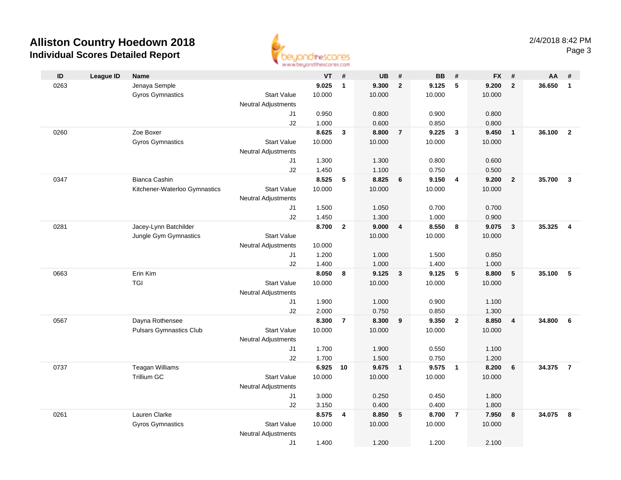

|      |                  |                                |                            | <b>HEAR ARVING THE UNIT MANY OF</b> |                |           |                         |           |                         |           |                         |        |                |
|------|------------------|--------------------------------|----------------------------|-------------------------------------|----------------|-----------|-------------------------|-----------|-------------------------|-----------|-------------------------|--------|----------------|
| ID   | <b>League ID</b> | <b>Name</b>                    |                            | VT                                  | #              | <b>UB</b> | $\pmb{\#}$              | <b>BB</b> | #                       | <b>FX</b> | #                       | AA     | #              |
| 0263 |                  | Jenaya Semple                  |                            | 9.025                               | $\mathbf{1}$   | 9.300     | $\overline{2}$          | 9.125     | $\sqrt{5}$              | 9.200     | $\mathbf{2}$            | 36.650 | $\mathbf{1}$   |
|      |                  | <b>Gyros Gymnastics</b>        | <b>Start Value</b>         | 10.000                              |                | 10.000    |                         | 10.000    |                         | 10.000    |                         |        |                |
|      |                  |                                | <b>Neutral Adjustments</b> |                                     |                |           |                         |           |                         |           |                         |        |                |
|      |                  |                                | J1                         | 0.950                               |                | 0.800     |                         | 0.900     |                         | 0.800     |                         |        |                |
|      |                  |                                | J2                         | 1.000                               |                | 0.600     |                         | 0.850     |                         | 0.800     |                         |        |                |
| 0260 |                  | Zoe Boxer                      |                            | 8.625                               | $\mathbf{3}$   | 8.800     | $\overline{7}$          | 9.225     | $\mathbf{3}$            | 9.450     | $\overline{1}$          | 36.100 | $\overline{2}$ |
|      |                  | <b>Gyros Gymnastics</b>        | <b>Start Value</b>         | 10.000                              |                | 10.000    |                         | 10.000    |                         | 10.000    |                         |        |                |
|      |                  |                                | <b>Neutral Adjustments</b> |                                     |                |           |                         |           |                         |           |                         |        |                |
|      |                  |                                | J1                         | 1.300                               |                | 1.300     |                         | 0.800     |                         | 0.600     |                         |        |                |
|      |                  |                                | J2                         | 1.450                               |                | 1.100     |                         | 0.750     |                         | 0.500     |                         |        |                |
| 0347 |                  | <b>Bianca Cashin</b>           |                            | 8.525                               | 5              | 8.825     | 6                       | 9.150     | $\overline{\mathbf{4}}$ | 9.200     | $\overline{2}$          | 35.700 | $\overline{3}$ |
|      |                  | Kitchener-Waterloo Gymnastics  | <b>Start Value</b>         | 10.000                              |                | 10.000    |                         | 10.000    |                         | 10.000    |                         |        |                |
|      |                  |                                | <b>Neutral Adjustments</b> |                                     |                |           |                         |           |                         |           |                         |        |                |
|      |                  |                                | J1                         | 1.500                               |                | 1.050     |                         | 0.700     |                         | 0.700     |                         |        |                |
|      |                  |                                | J2                         | 1.450                               |                | 1.300     |                         | 1.000     |                         | 0.900     |                         |        |                |
| 0281 |                  | Jacey-Lynn Batchilder          |                            | 8.700                               | $\overline{2}$ | 9.000     | $\overline{\mathbf{4}}$ | 8.550     | 8                       | 9.075     | $\overline{\mathbf{3}}$ | 35.325 | $\overline{4}$ |
|      |                  | Jungle Gym Gymnastics          | <b>Start Value</b>         |                                     |                | 10.000    |                         | 10.000    |                         | 10.000    |                         |        |                |
|      |                  |                                | <b>Neutral Adjustments</b> | 10.000                              |                |           |                         |           |                         |           |                         |        |                |
|      |                  |                                | J1                         | 1.200                               |                | 1.000     |                         | 1.500     |                         | 0.850     |                         |        |                |
|      |                  |                                | J2                         | 1.400                               |                | 1.000     |                         | 1.400     |                         | 1.000     |                         |        |                |
| 0663 |                  | Erin Kim                       |                            | 8.050                               | 8              | 9.125     | $\mathbf{3}$            | 9.125     | $-5$                    | 8.800     | $\sqrt{5}$              | 35.100 | 5              |
|      |                  | TGI                            | <b>Start Value</b>         | 10.000                              |                | 10.000    |                         | 10.000    |                         | 10.000    |                         |        |                |
|      |                  |                                | <b>Neutral Adjustments</b> |                                     |                |           |                         |           |                         |           |                         |        |                |
|      |                  |                                | J1                         | 1.900                               |                | 1.000     |                         | 0.900     |                         | 1.100     |                         |        |                |
|      |                  |                                | J2                         | 2.000                               |                | 0.750     |                         | 0.850     |                         | 1.300     |                         |        |                |
| 0567 |                  | Dayna Rothensee                |                            | 8.300                               | $\overline{7}$ | 8.300     | 9                       | 9.350     | $\overline{\mathbf{2}}$ | 8.850     | $\overline{4}$          | 34.800 | 6              |
|      |                  | <b>Pulsars Gymnastics Club</b> | <b>Start Value</b>         | 10.000                              |                | 10.000    |                         | 10.000    |                         | 10.000    |                         |        |                |
|      |                  |                                | <b>Neutral Adjustments</b> |                                     |                |           |                         |           |                         |           |                         |        |                |
|      |                  |                                | J1                         | 1.700                               |                | 1.900     |                         | 0.550     |                         | 1.100     |                         |        |                |
|      |                  |                                | J2                         | 1.700                               |                | 1.500     |                         | 0.750     |                         | 1.200     |                         |        |                |
| 0737 |                  | <b>Teagan Williams</b>         |                            | 6.925                               | 10             | 9.675     | $\overline{1}$          | 9.575     | $\overline{1}$          | 8.200     | $6\phantom{1}6$         | 34.375 | $\overline{7}$ |
|      |                  | Trillium GC                    | <b>Start Value</b>         | 10.000                              |                | 10.000    |                         | 10.000    |                         | 10.000    |                         |        |                |
|      |                  |                                | <b>Neutral Adjustments</b> |                                     |                |           |                         |           |                         |           |                         |        |                |
|      |                  |                                | J1                         | 3.000                               |                | 0.250     |                         | 0.450     |                         | 1.800     |                         |        |                |
|      |                  | Lauren Clarke                  | J2                         | 3.150                               |                | 0.400     |                         | 0.400     |                         | 1.800     |                         | 34.075 |                |
| 0261 |                  |                                |                            | 8.575                               | 4              | 8.850     | $5\phantom{.0}$         | 8.700     | $\overline{7}$          | 7.950     | 8                       |        | 8              |
|      |                  | <b>Gyros Gymnastics</b>        | <b>Start Value</b>         | 10.000                              |                | 10.000    |                         | 10.000    |                         | 10.000    |                         |        |                |
|      |                  |                                | <b>Neutral Adjustments</b> |                                     |                |           |                         |           |                         |           |                         |        |                |
|      |                  |                                | J1                         | 1.400                               |                | 1.200     |                         | 1.200     |                         | 2.100     |                         |        |                |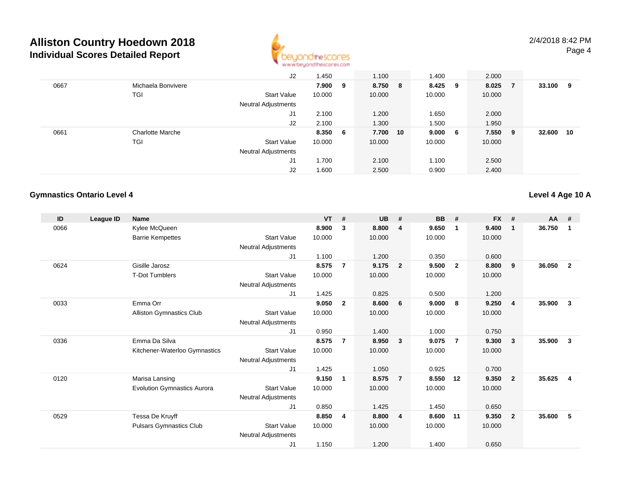

|      |                         | J2                         | 1.450   | 1.100    | 1.400   |     | 2.000  |     |        |    |
|------|-------------------------|----------------------------|---------|----------|---------|-----|--------|-----|--------|----|
| 0667 | Michaela Bonvivere      |                            | 7.900 9 | 8.750 8  | 8.425 9 |     | 8.025  | -7  | 33.100 | 9  |
|      | TGI                     | <b>Start Value</b>         | 10.000  | 10.000   | 10.000  |     | 10.000 |     |        |    |
|      |                         | <b>Neutral Adjustments</b> |         |          |         |     |        |     |        |    |
|      |                         | J1                         | 2.100   | 1.200    | 1.650   |     | 2.000  |     |        |    |
|      |                         | J2                         | 2.100   | 1.300    | 1.500   |     | 1.950  |     |        |    |
| 0661 | <b>Charlotte Marche</b> |                            | 8.350 6 | 7.700 10 | 9.000   | - 6 | 7.550  | - 9 | 32.600 | 10 |
|      | TGI                     | Start Value                | 10.000  | 10.000   | 10.000  |     | 10.000 |     |        |    |
|      |                         | <b>Neutral Adjustments</b> |         |          |         |     |        |     |        |    |
|      |                         | J1                         | 1.700   | 2.100    | 1.100   |     | 2.500  |     |        |    |
|      |                         | J2                         | 1.600   | 2.500    | 0.900   |     | 2.400  |     |        |    |

#### **Gymnastics Ontario Level 4**

**Level 4 Age 10 A**

| ID   | League ID | <b>Name</b>                        |                            | <b>VT</b> | #              | <b>UB</b> | #                       | <b>BB</b> | #              | <b>FX</b> | #              | $AA$ # |              |
|------|-----------|------------------------------------|----------------------------|-----------|----------------|-----------|-------------------------|-----------|----------------|-----------|----------------|--------|--------------|
| 0066 |           | Kylee McQueen                      |                            | 8.900     | 3              | 8.800     | $\overline{4}$          | 9.650     | $\mathbf 1$    | 9.400     | $\mathbf{1}$   | 36.750 | 1            |
|      |           | <b>Barrie Kempettes</b>            | <b>Start Value</b>         | 10.000    |                | 10.000    |                         | 10.000    |                | 10.000    |                |        |              |
|      |           |                                    | Neutral Adjustments        |           |                |           |                         |           |                |           |                |        |              |
|      |           |                                    | J1                         | 1.100     |                | 1.200     |                         | 0.350     |                | 0.600     |                |        |              |
| 0624 |           | Gisille Jarosz                     |                            | 8.575     | $\overline{7}$ | 9.175     | $\overline{2}$          | 9.500     | $\overline{2}$ | 8.800     | 9              | 36.050 | $\mathbf{2}$ |
|      |           | <b>T-Dot Tumblers</b>              | <b>Start Value</b>         | 10.000    |                | 10.000    |                         | 10.000    |                | 10.000    |                |        |              |
|      |           |                                    | Neutral Adjustments        |           |                |           |                         |           |                |           |                |        |              |
|      |           |                                    | J1                         | 1.425     |                | 0.825     |                         | 0.500     |                | 1.200     |                |        |              |
| 0033 |           | Emma Orr                           |                            | 9.050     | $\overline{2}$ | 8.600     | 6                       | 9.000     | -8             | 9.250     | $\overline{4}$ | 35.900 | 3            |
|      |           | Alliston Gymnastics Club           | <b>Start Value</b>         | 10.000    |                | 10.000    |                         | 10.000    |                | 10.000    |                |        |              |
|      |           |                                    | Neutral Adjustments        |           |                |           |                         |           |                |           |                |        |              |
|      |           |                                    | J <sub>1</sub>             | 0.950     |                | 1.400     |                         | 1.000     |                | 0.750     |                |        |              |
| 0336 |           | Emma Da Silva                      |                            | 8.575     | $\overline{7}$ | 8.950     | $\overline{\mathbf{3}}$ | 9.075     | -7             | 9.300     | 3              | 35.900 | 3            |
|      |           | Kitchener-Waterloo Gymnastics      | <b>Start Value</b>         | 10.000    |                | 10.000    |                         | 10.000    |                | 10.000    |                |        |              |
|      |           |                                    | Neutral Adjustments        |           |                |           |                         |           |                |           |                |        |              |
|      |           |                                    | J <sub>1</sub>             | 1.425     |                | 1.050     |                         | 0.925     |                | 0.700     |                |        |              |
| 0120 |           | Marisa Lansing                     |                            | 9.150     | 1              | 8.575     | $\overline{7}$          | 8.550     | 12             | 9.350     | $\overline{2}$ | 35.625 | 4            |
|      |           | <b>Evolution Gymnastics Aurora</b> | <b>Start Value</b>         | 10.000    |                | 10.000    |                         | 10.000    |                | 10.000    |                |        |              |
|      |           |                                    | <b>Neutral Adjustments</b> |           |                |           |                         |           |                |           |                |        |              |
|      |           |                                    | J <sub>1</sub>             | 0.850     |                | 1.425     |                         | 1.450     |                | 0.650     |                |        |              |
| 0529 |           | Tessa De Kruyff                    |                            | 8.850     | 4              | 8.800     | $\overline{4}$          | 8.600     | 11             | 9.350     | $\overline{2}$ | 35,600 | 5            |
|      |           | <b>Pulsars Gymnastics Club</b>     | <b>Start Value</b>         | 10.000    |                | 10.000    |                         | 10.000    |                | 10.000    |                |        |              |
|      |           |                                    | <b>Neutral Adjustments</b> |           |                |           |                         |           |                |           |                |        |              |
|      |           |                                    | J <sub>1</sub>             | 1.150     |                | 1.200     |                         | 1.400     |                | 0.650     |                |        |              |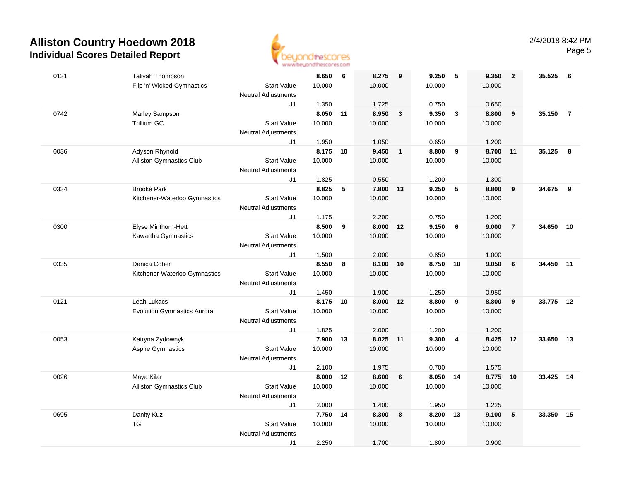

| 0131 | Taliyah Thompson                              |                                  | 8.650          | 6  | 8.275          | 9            | 9.250          | 5              | 9.350          | $\overline{2}$ | 35.525    | 6              |
|------|-----------------------------------------------|----------------------------------|----------------|----|----------------|--------------|----------------|----------------|----------------|----------------|-----------|----------------|
|      | Flip 'n' Wicked Gymnastics                    | <b>Start Value</b>               | 10.000         |    | 10.000         |              | 10.000         |                | 10.000         |                |           |                |
|      |                                               | Neutral Adjustments              |                |    |                |              |                |                |                |                |           |                |
|      |                                               | J1                               | 1.350          |    | 1.725          |              | 0.750          |                | 0.650          |                |           |                |
| 0742 | Marley Sampson                                |                                  | 8.050 11       |    | 8.950          | $\mathbf{3}$ | 9.350          | $\mathbf{3}$   | 8.800          | 9              | 35.150    | $\overline{7}$ |
|      | <b>Trillium GC</b>                            | <b>Start Value</b>               | 10.000         |    | 10.000         |              | 10.000         |                | 10.000         |                |           |                |
|      |                                               | <b>Neutral Adjustments</b><br>J1 | 1.950          |    | 1.050          |              | 0.650          |                | 1.200          |                |           |                |
| 0036 | Adyson Rhynold                                |                                  | 8.175          | 10 | 9.450          | $\mathbf{1}$ | 8.800          | 9              | 8.700          | 11             | 35.125    | - 8            |
|      | <b>Alliston Gymnastics Club</b>               | <b>Start Value</b>               | 10.000         |    | 10.000         |              | 10.000         |                | 10.000         |                |           |                |
|      |                                               | Neutral Adjustments              |                |    |                |              |                |                |                |                |           |                |
|      |                                               | J1                               | 1.825          |    | 0.550          |              | 1.200          |                | 1.300          |                |           |                |
| 0334 | <b>Brooke Park</b>                            |                                  | 8.825          | 5  | 7.800 13       |              | 9.250          | 5              | 8.800          | 9              | 34.675    | 9              |
|      | Kitchener-Waterloo Gymnastics                 | <b>Start Value</b>               | 10.000         |    | 10.000         |              | 10.000         |                | 10.000         |                |           |                |
|      |                                               | <b>Neutral Adjustments</b>       |                |    |                |              |                |                |                |                |           |                |
|      |                                               | J1                               | 1.175          |    | 2.200          |              | 0.750          |                | 1.200          |                |           |                |
| 0300 | Elyse Minthorn-Hett                           |                                  | 8.500          | 9  | 8.000 12       |              | 9.150          | 6              | 9.000          | $\overline{7}$ | 34.650    | 10             |
|      | Kawartha Gymnastics                           | <b>Start Value</b>               | 10.000         |    | 10.000         |              | 10.000         |                | 10.000         |                |           |                |
|      |                                               | <b>Neutral Adjustments</b>       |                |    |                |              |                |                |                |                |           |                |
| 0335 | Danica Cober                                  | J1                               | 1.500<br>8.550 | 8  | 2.000<br>8.100 | 10           | 0.850<br>8.750 | 10             | 1.000<br>9.050 | 6              | 34.450 11 |                |
|      | Kitchener-Waterloo Gymnastics                 | <b>Start Value</b>               | 10.000         |    | 10.000         |              | 10.000         |                | 10.000         |                |           |                |
|      |                                               | <b>Neutral Adjustments</b>       |                |    |                |              |                |                |                |                |           |                |
|      |                                               | J1                               | 1.450          |    | 1.900          |              | 1.250          |                | 0.950          |                |           |                |
| 0121 | Leah Lukacs                                   |                                  | 8.175          | 10 | 8.000          | 12           | 8.800          | 9              | 8.800          | 9              | 33.775    | 12             |
|      | <b>Evolution Gymnastics Aurora</b>            | <b>Start Value</b>               | 10.000         |    | 10.000         |              | 10.000         |                | 10.000         |                |           |                |
|      |                                               | Neutral Adjustments              |                |    |                |              |                |                |                |                |           |                |
|      |                                               | J1                               | 1.825          |    | 2.000          |              | 1.200          |                | 1.200          |                |           |                |
| 0053 | Katryna Zydownyk                              |                                  | 7.900          | 13 | 8.025 11       |              | 9.300          | $\overline{4}$ | 8.425          | 12             | 33.650    | 13             |
|      | <b>Aspire Gymnastics</b>                      | <b>Start Value</b>               | 10.000         |    | 10.000         |              | 10.000         |                | 10.000         |                |           |                |
|      |                                               | Neutral Adjustments              |                |    |                |              |                |                |                |                |           |                |
|      |                                               | J1                               | 2.100          |    | 1.975          |              | 0.700          |                | 1.575          |                |           |                |
| 0026 | Maya Kilar<br><b>Alliston Gymnastics Club</b> | <b>Start Value</b>               | 8.000 12       |    | 8.600          | 6            | 8.050 14       |                | 8.775          | 10             | 33.425 14 |                |
|      |                                               | <b>Neutral Adjustments</b>       | 10.000         |    | 10.000         |              | 10.000         |                | 10.000         |                |           |                |
|      |                                               | J1                               | 2.000          |    | 1.400          |              | 1.950          |                | 1.225          |                |           |                |
| 0695 | Danity Kuz                                    |                                  | 7.750 14       |    | 8.300          | 8            | 8.200          | 13             | 9.100          | 5              | 33.350    | 15             |
|      | <b>TGI</b>                                    | <b>Start Value</b>               | 10.000         |    | 10.000         |              | 10.000         |                | 10.000         |                |           |                |
|      |                                               | <b>Neutral Adjustments</b>       |                |    |                |              |                |                |                |                |           |                |
|      |                                               | J1                               | 2.250          |    | 1.700          |              | 1.800          |                | 0.900          |                |           |                |
|      |                                               |                                  |                |    |                |              |                |                |                |                |           |                |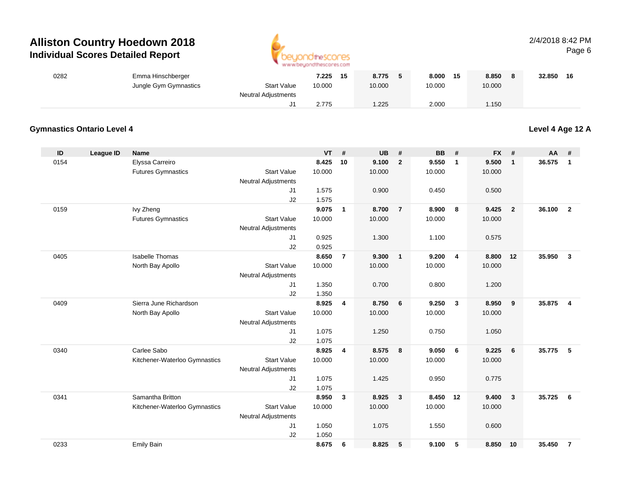

#### 2/4/2018 8:42 PMPage 6

| 0282 | Emma Hinschberger     |                                           | 7.225  | 15 | 8.775  | 8.000  | 15 | 8.850  | 32.850 | 16 |
|------|-----------------------|-------------------------------------------|--------|----|--------|--------|----|--------|--------|----|
|      | Jungle Gym Gymnastics | <b>Start Value</b><br>Neutral Adjustments | 10.000 |    | 10.000 | 10.000 |    | 10.000 |        |    |
|      |                       |                                           | 2.775  |    | .225   | 2.000  |    | 1.150  |        |    |

#### **Gymnastics Ontario Level 4**

**Level 4 Age 12 A**

| ID   | League ID | <b>Name</b>                   |                            | <b>VT</b> | #              | <b>UB</b> | #               | <b>BB</b> | #              | <b>FX</b> | #                       | AA     | #                |
|------|-----------|-------------------------------|----------------------------|-----------|----------------|-----------|-----------------|-----------|----------------|-----------|-------------------------|--------|------------------|
| 0154 |           | Elyssa Carreiro               |                            | 8.425     | 10             | 9.100     | $\overline{2}$  | 9.550     | $\overline{1}$ | 9.500     | $\mathbf{1}$            | 36.575 | $\mathbf{1}$     |
|      |           | <b>Futures Gymnastics</b>     | <b>Start Value</b>         | 10.000    |                | 10.000    |                 | 10.000    |                | 10.000    |                         |        |                  |
|      |           |                               | Neutral Adjustments        |           |                |           |                 |           |                |           |                         |        |                  |
|      |           |                               | J1                         | 1.575     |                | 0.900     |                 | 0.450     |                | 0.500     |                         |        |                  |
|      |           |                               | J2                         | 1.575     |                |           |                 |           |                |           |                         |        |                  |
| 0159 |           | Ivy Zheng                     |                            | 9.075     | $\mathbf{1}$   | 8.700     | $\overline{7}$  | 8.900     | 8              | 9.425     | $\overline{\mathbf{2}}$ | 36.100 | $\overline{2}$   |
|      |           | <b>Futures Gymnastics</b>     | <b>Start Value</b>         | 10.000    |                | 10.000    |                 | 10.000    |                | 10.000    |                         |        |                  |
|      |           |                               | Neutral Adjustments        |           |                |           |                 |           |                |           |                         |        |                  |
|      |           |                               | J <sub>1</sub>             | 0.925     |                | 1.300     |                 | 1.100     |                | 0.575     |                         |        |                  |
|      |           |                               | J2                         | 0.925     |                |           |                 |           |                |           |                         |        |                  |
| 0405 |           | <b>Isabelle Thomas</b>        |                            | 8.650     | $\overline{7}$ | 9.300     | $\mathbf{1}$    | 9.200     | $\overline{4}$ | 8.800     | 12                      | 35.950 | 3                |
|      |           | North Bay Apollo              | <b>Start Value</b>         | 10.000    |                | 10.000    |                 | 10.000    |                | 10.000    |                         |        |                  |
|      |           |                               | <b>Neutral Adjustments</b> |           |                |           |                 |           |                |           |                         |        |                  |
|      |           |                               | J1                         | 1.350     |                | 0.700     |                 | 0.800     |                | 1.200     |                         |        |                  |
|      |           |                               | J2                         | 1.350     |                |           |                 |           |                |           |                         |        |                  |
| 0409 |           | Sierra June Richardson        |                            | 8.925     | 4              | 8.750     | $6\overline{6}$ | 9.250     | $\mathbf{3}$   | 8.950     | 9                       | 35.875 | $\boldsymbol{4}$ |
|      |           | North Bay Apollo              | <b>Start Value</b>         | 10.000    |                | 10.000    |                 | 10.000    |                | 10.000    |                         |        |                  |
|      |           |                               | <b>Neutral Adjustments</b> |           |                |           |                 |           |                |           |                         |        |                  |
|      |           |                               | J1                         | 1.075     |                | 1.250     |                 | 0.750     |                | 1.050     |                         |        |                  |
|      |           |                               | J2                         | 1.075     |                |           |                 |           |                |           |                         |        |                  |
| 0340 |           | Carlee Sabo                   |                            | 8.925     | 4              | 8.575     | 8               | 9.050     | 6              | 9.225     | 6                       | 35.775 | 5                |
|      |           | Kitchener-Waterloo Gymnastics | <b>Start Value</b>         | 10.000    |                | 10.000    |                 | 10.000    |                | 10.000    |                         |        |                  |
|      |           |                               | <b>Neutral Adjustments</b> |           |                |           |                 |           |                |           |                         |        |                  |
|      |           |                               | J1                         | 1.075     |                | 1.425     |                 | 0.950     |                | 0.775     |                         |        |                  |
|      |           |                               | J2                         | 1.075     |                |           |                 |           |                |           |                         |        |                  |
| 0341 |           | Samantha Britton              |                            | 8.950     | $\mathbf{3}$   | 8.925     | $\mathbf{3}$    | 8.450     | 12             | 9.400     | $\overline{\mathbf{3}}$ | 35.725 | 6                |
|      |           | Kitchener-Waterloo Gymnastics | <b>Start Value</b>         | 10.000    |                | 10.000    |                 | 10.000    |                | 10.000    |                         |        |                  |
|      |           |                               | <b>Neutral Adjustments</b> |           |                |           |                 |           |                |           |                         |        |                  |
|      |           |                               | J1                         | 1.050     |                | 1.075     |                 | 1.550     |                | 0.600     |                         |        |                  |
|      |           |                               | J2                         | 1.050     |                |           |                 |           |                |           |                         |        |                  |
| 0233 |           | <b>Emily Bain</b>             |                            | 8.675     | 6              | 8.825     | 5               | 9.100     | 5              | 8.850 10  |                         | 35.450 | $\overline{7}$   |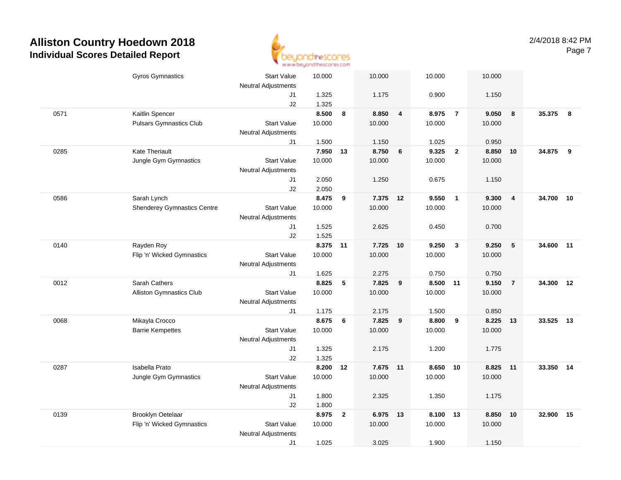

|      | <b>Gyros Gymnastics</b>            | <b>Start Value</b><br><b>Neutral Adjustments</b> | 10.000         |                | 10.000   |                         | 10.000   |                | 10.000 |                |           |     |
|------|------------------------------------|--------------------------------------------------|----------------|----------------|----------|-------------------------|----------|----------------|--------|----------------|-----------|-----|
|      |                                    | J1                                               | 1.325          |                | 1.175    |                         | 0.900    |                | 1.150  |                |           |     |
| 0571 | Kaitlin Spencer                    | J2                                               | 1.325<br>8.500 | 8              | 8.850    | $\overline{\mathbf{4}}$ | 8.975    | $\overline{7}$ | 9.050  | $\bf{8}$       | 35.375    | - 8 |
|      | <b>Pulsars Gymnastics Club</b>     | <b>Start Value</b>                               | 10.000         |                | 10.000   |                         | 10.000   |                | 10.000 |                |           |     |
|      |                                    | <b>Neutral Adjustments</b>                       |                |                |          |                         |          |                |        |                |           |     |
|      |                                    | J1                                               | 1.500          |                | 1.150    |                         | 1.025    |                | 0.950  |                |           |     |
| 0285 | <b>Kate Theriault</b>              |                                                  | 7.950          | 13             | 8.750    | 6                       | 9.325    | $\overline{2}$ | 8.850  | 10             | 34.875    | 9   |
|      | Jungle Gym Gymnastics              | <b>Start Value</b>                               | 10.000         |                | 10.000   |                         | 10.000   |                | 10.000 |                |           |     |
|      |                                    | <b>Neutral Adjustments</b>                       |                |                |          |                         |          |                |        |                |           |     |
|      |                                    | J1                                               | 2.050          |                | 1.250    |                         | 0.675    |                | 1.150  |                |           |     |
|      |                                    | J2                                               | 2.050          |                |          |                         |          |                |        |                |           |     |
| 0586 | Sarah Lynch                        |                                                  | 8.475          | 9              | 7.375 12 |                         | 9.550    | $\mathbf{1}$   | 9.300  | $\overline{4}$ | 34.700 10 |     |
|      | <b>Shenderey Gymnastics Centre</b> | <b>Start Value</b>                               | 10.000         |                | 10.000   |                         | 10.000   |                | 10.000 |                |           |     |
|      |                                    | <b>Neutral Adjustments</b>                       |                |                |          |                         |          |                |        |                |           |     |
|      |                                    | J1                                               | 1.525          |                | 2.625    |                         | 0.450    |                | 0.700  |                |           |     |
|      |                                    | J2                                               | 1.525          |                |          |                         |          |                |        |                |           |     |
| 0140 | Rayden Roy                         |                                                  | 8.375 11       |                | 7.725 10 |                         | 9.250    | $\mathbf{3}$   | 9.250  | 5              | 34.600 11 |     |
|      | Flip 'n' Wicked Gymnastics         | <b>Start Value</b>                               | 10.000         |                | 10.000   |                         | 10.000   |                | 10.000 |                |           |     |
|      |                                    | <b>Neutral Adjustments</b>                       |                |                |          |                         |          |                |        |                |           |     |
|      |                                    | J1                                               | 1.625          |                | 2.275    |                         | 0.750    |                | 0.750  |                |           |     |
| 0012 | Sarah Cathers                      |                                                  | 8.825          | 5              | 7.825    | 9                       | 8.500 11 |                | 9.150  | $\overline{7}$ | 34.300 12 |     |
|      | Alliston Gymnastics Club           | <b>Start Value</b>                               | 10.000         |                | 10.000   |                         | 10.000   |                | 10.000 |                |           |     |
|      |                                    | Neutral Adjustments                              |                |                |          |                         |          |                |        |                |           |     |
|      |                                    | J1                                               | 1.175          |                | 2.175    |                         | 1.500    |                | 0.850  |                |           |     |
| 0068 | Mikayla Crocco                     |                                                  | 8.675          | 6              | 7.825    | 9                       | 8.800    | 9              | 8.225  | 13             | 33.525 13 |     |
|      | <b>Barrie Kempettes</b>            | <b>Start Value</b>                               | 10.000         |                | 10.000   |                         | 10.000   |                | 10.000 |                |           |     |
|      |                                    | Neutral Adjustments                              |                |                |          |                         |          |                |        |                |           |     |
|      |                                    | J1                                               | 1.325          |                | 2.175    |                         | 1.200    |                | 1.775  |                |           |     |
|      | Isabella Prato                     | J2                                               | 1.325          |                |          |                         |          |                |        |                |           |     |
| 0287 |                                    |                                                  | 8.200          | 12             | 7.675 11 |                         | 8.650    | 10             | 8.825  | 11             | 33.350 14 |     |
|      | Jungle Gym Gymnastics              | <b>Start Value</b><br><b>Neutral Adjustments</b> | 10.000         |                | 10.000   |                         | 10.000   |                | 10.000 |                |           |     |
|      |                                    | J1                                               | 1.800          |                | 2.325    |                         | 1.350    |                | 1.175  |                |           |     |
|      |                                    | J2                                               | 1.800          |                |          |                         |          |                |        |                |           |     |
| 0139 | Brooklyn Oetelaar                  |                                                  | 8.975          | $\overline{2}$ | 6.975    | 13                      | 8.100    | 13             | 8.850  | 10             | 32.900 15 |     |
|      | Flip 'n' Wicked Gymnastics         | <b>Start Value</b>                               | 10.000         |                | 10.000   |                         | 10.000   |                | 10.000 |                |           |     |
|      |                                    | <b>Neutral Adjustments</b>                       |                |                |          |                         |          |                |        |                |           |     |
|      |                                    | J1                                               | 1.025          |                | 3.025    |                         | 1.900    |                | 1.150  |                |           |     |
|      |                                    |                                                  |                |                |          |                         |          |                |        |                |           |     |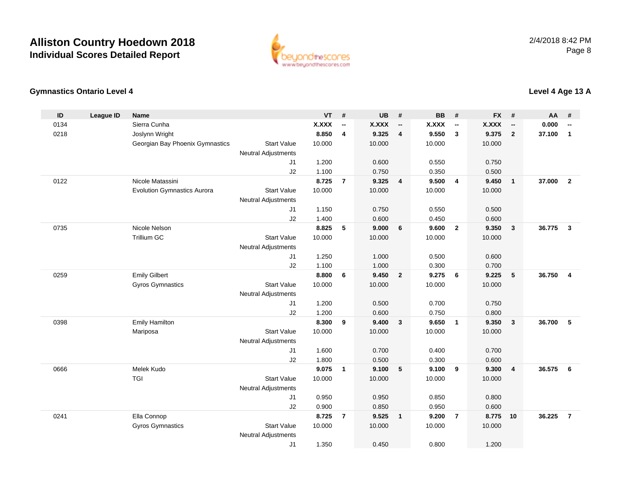

#### **Gymnastics Ontario Level 4**

| ID   | <b>League ID</b> | <b>Name</b>                        |                            | <b>VT</b>    | #                        | <b>UB</b>    | #                        | <b>BB</b> | #                        | <b>FX</b>    | #                        | AA     | #              |
|------|------------------|------------------------------------|----------------------------|--------------|--------------------------|--------------|--------------------------|-----------|--------------------------|--------------|--------------------------|--------|----------------|
| 0134 |                  | Sierra Cunha                       |                            | <b>X.XXX</b> | $\overline{\phantom{a}}$ | <b>X.XXX</b> | $\overline{\phantom{a}}$ | X.XXX     | $\overline{\phantom{a}}$ | <b>X.XXX</b> | $\overline{\phantom{a}}$ | 0.000  | --             |
| 0218 |                  | Joslynn Wright                     |                            | 8.850        | 4                        | 9.325        | $\overline{4}$           | 9.550     | 3                        | 9.375        | $\overline{2}$           | 37.100 | $\mathbf{1}$   |
|      |                  | Georgian Bay Phoenix Gymnastics    | <b>Start Value</b>         | 10.000       |                          | 10.000       |                          | 10.000    |                          | 10.000       |                          |        |                |
|      |                  |                                    | <b>Neutral Adjustments</b> |              |                          |              |                          |           |                          |              |                          |        |                |
|      |                  |                                    | J <sub>1</sub>             | 1.200        |                          | 0.600        |                          | 0.550     |                          | 0.750        |                          |        |                |
|      |                  |                                    | J2                         | 1.100        |                          | 0.750        |                          | 0.350     |                          | 0.500        |                          |        |                |
| 0122 |                  | Nicole Matassini                   |                            | 8.725        | $\overline{7}$           | 9.325        | $\overline{4}$           | 9.500     | $\overline{4}$           | 9.450        | $\mathbf{1}$             | 37.000 | $\overline{2}$ |
|      |                  | <b>Evolution Gymnastics Aurora</b> | <b>Start Value</b>         | 10.000       |                          | 10.000       |                          | 10.000    |                          | 10.000       |                          |        |                |
|      |                  |                                    | <b>Neutral Adjustments</b> |              |                          |              |                          |           |                          |              |                          |        |                |
|      |                  |                                    | J1                         | 1.150        |                          | 0.750        |                          | 0.550     |                          | 0.500        |                          |        |                |
|      |                  |                                    | J2                         | 1.400        |                          | 0.600        |                          | 0.450     |                          | 0.600        |                          |        |                |
| 0735 |                  | Nicole Nelson                      |                            | 8.825        | 5                        | 9.000        | 6                        | 9.600     | $\overline{2}$           | 9.350        | $\mathbf{3}$             | 36.775 | 3              |
|      |                  | Trillium GC                        | <b>Start Value</b>         | 10.000       |                          | 10.000       |                          | 10.000    |                          | 10.000       |                          |        |                |
|      |                  |                                    | <b>Neutral Adjustments</b> |              |                          |              |                          |           |                          |              |                          |        |                |
|      |                  |                                    | J1                         | 1.250        |                          | 1.000        |                          | 0.500     |                          | 0.600        |                          |        |                |
|      |                  |                                    | J2                         | 1.100        |                          | 1.000        |                          | 0.300     |                          | 0.700        |                          |        |                |
| 0259 |                  | <b>Emily Gilbert</b>               |                            | 8.800        | 6                        | 9.450        | $\overline{2}$           | 9.275     | 6                        | 9.225        | 5                        | 36.750 | $\overline{4}$ |
|      |                  | <b>Gyros Gymnastics</b>            | <b>Start Value</b>         | 10.000       |                          | 10.000       |                          | 10.000    |                          | 10.000       |                          |        |                |
|      |                  |                                    | Neutral Adjustments        |              |                          |              |                          |           |                          |              |                          |        |                |
|      |                  |                                    | J <sub>1</sub>             | 1.200        |                          | 0.500        |                          | 0.700     |                          | 0.750        |                          |        |                |
|      |                  |                                    | J2                         | 1.200        |                          | 0.600        |                          | 0.750     |                          | 0.800        |                          |        |                |
| 0398 |                  | <b>Emily Hamilton</b>              |                            | 8.300        | 9                        | 9.400        | $\overline{\mathbf{3}}$  | 9.650     | $\overline{1}$           | 9.350        | $\mathbf{3}$             | 36.700 | 5              |
|      |                  | Mariposa                           | <b>Start Value</b>         | 10.000       |                          | 10.000       |                          | 10.000    |                          | 10.000       |                          |        |                |
|      |                  |                                    | <b>Neutral Adjustments</b> |              |                          |              |                          |           |                          |              |                          |        |                |
|      |                  |                                    | J1                         | 1.600        |                          | 0.700        |                          | 0.400     |                          | 0.700        |                          |        |                |
|      |                  |                                    | J2                         | 1.800        |                          | 0.500        |                          | 0.300     |                          | 0.600        |                          |        |                |
| 0666 |                  | Melek Kudo                         |                            | 9.075        | $\mathbf{1}$             | 9.100        | 5                        | 9.100     | 9                        | 9.300        | 4                        | 36.575 | 6              |
|      |                  | <b>TGI</b>                         | <b>Start Value</b>         | 10.000       |                          | 10.000       |                          | 10.000    |                          | 10.000       |                          |        |                |
|      |                  |                                    | <b>Neutral Adjustments</b> |              |                          |              |                          |           |                          |              |                          |        |                |
|      |                  |                                    | J1                         | 0.950        |                          | 0.950        |                          | 0.850     |                          | 0.800        |                          |        |                |
|      |                  |                                    | J2                         | 0.900        |                          | 0.850        |                          | 0.950     |                          | 0.600        |                          |        |                |
| 0241 |                  | Ella Connop                        |                            | 8.725        | $\overline{7}$           | 9.525        | $\overline{1}$           | 9.200     | $\overline{7}$           | 8.775        | 10                       | 36.225 | $\overline{7}$ |
|      |                  | <b>Gyros Gymnastics</b>            | <b>Start Value</b>         | 10.000       |                          | 10.000       |                          | 10.000    |                          | 10.000       |                          |        |                |
|      |                  |                                    | <b>Neutral Adjustments</b> |              |                          |              |                          |           |                          |              |                          |        |                |
|      |                  |                                    | J1                         | 1.350        |                          | 0.450        |                          | 0.800     |                          | 1.200        |                          |        |                |

#### **Level 4 Age 13 A**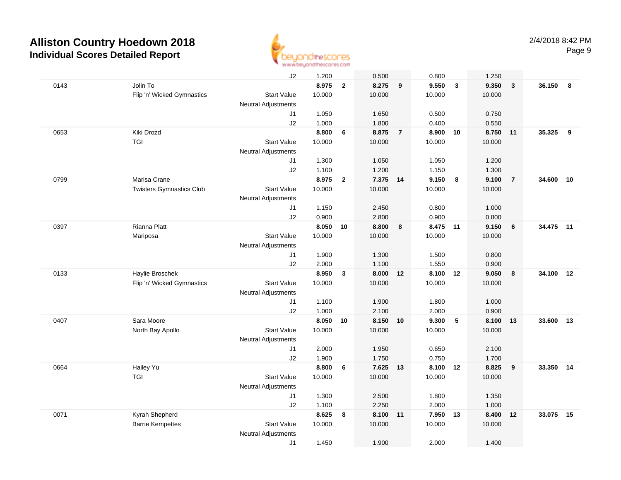

| J2<br>1.200<br>0.500<br>Jolin To<br>8.975<br>0143<br>$\mathbf{2}$<br>8.275<br>10.000<br>Flip 'n' Wicked Gymnastics<br><b>Start Value</b><br>10.000<br><b>Neutral Adjustments</b><br>1.050<br>1.650<br>J1 | 0.800<br>9<br>9.550<br>10.000<br>0.500 | 1.250<br>$\overline{\mathbf{3}}$<br>9.350<br>10.000 | $\overline{\mathbf{3}}$ | 36.150 8     |
|----------------------------------------------------------------------------------------------------------------------------------------------------------------------------------------------------------|----------------------------------------|-----------------------------------------------------|-------------------------|--------------|
|                                                                                                                                                                                                          |                                        |                                                     |                         |              |
|                                                                                                                                                                                                          |                                        |                                                     |                         |              |
|                                                                                                                                                                                                          |                                        |                                                     |                         |              |
|                                                                                                                                                                                                          |                                        |                                                     |                         |              |
|                                                                                                                                                                                                          |                                        | 0.750                                               |                         |              |
| J2<br>1.000<br>1.800                                                                                                                                                                                     | 0.400                                  | 0.550                                               |                         |              |
| 0653<br>Kiki Drozd<br>8.800<br>6<br>8.875                                                                                                                                                                | $\overline{7}$<br>8.900                | 8.750<br>10                                         | 11                      | 35.325<br>9  |
| <b>TGI</b><br><b>Start Value</b><br>10.000<br>10.000                                                                                                                                                     | 10.000                                 | 10.000                                              |                         |              |
| Neutral Adjustments                                                                                                                                                                                      |                                        |                                                     |                         |              |
| 1.300<br>1.050<br>J1                                                                                                                                                                                     | 1.050                                  | 1.200                                               |                         |              |
| J2<br>1.100<br>1.200                                                                                                                                                                                     | 1.150                                  | 1.300                                               |                         |              |
| 0799<br>Marisa Crane<br>8.975<br>7.375 14<br>$\overline{2}$                                                                                                                                              | 9.150                                  | 9.100<br>8                                          | $\overline{7}$          | 34.600<br>10 |
| 10.000<br><b>Twisters Gymnastics Club</b><br><b>Start Value</b><br>10.000                                                                                                                                | 10.000                                 | 10.000                                              |                         |              |
| <b>Neutral Adjustments</b>                                                                                                                                                                               |                                        |                                                     |                         |              |
| 1.150<br>2.450<br>J1                                                                                                                                                                                     | 0.800                                  | 1.000                                               |                         |              |
| 0.900<br>2.800<br>J2                                                                                                                                                                                     | 0.900                                  | 0.800                                               |                         |              |
| Rianna Platt<br>8.050<br>8.800<br>0397<br>10                                                                                                                                                             | 8.475 11<br>8                          | 9.150                                               | 6                       | 34.475 11    |
| <b>Start Value</b><br>10.000<br>10.000<br>Mariposa                                                                                                                                                       | 10.000                                 | 10.000                                              |                         |              |
| <b>Neutral Adjustments</b>                                                                                                                                                                               |                                        |                                                     |                         |              |
| 1.900<br>1.300<br>J1                                                                                                                                                                                     | 1.500                                  | 0.800                                               |                         |              |
| 2.000<br>1.100<br>J2                                                                                                                                                                                     | 1.550                                  | 0.900                                               |                         |              |
| 0133<br>Haylie Broschek<br>8.950<br>8.000<br>$\mathbf{3}$                                                                                                                                                | 8.100<br>12                            | 12<br>9.050                                         | 8                       | 34.100<br>12 |
| Flip 'n' Wicked Gymnastics<br><b>Start Value</b><br>10.000<br>10.000                                                                                                                                     | 10.000                                 | 10.000                                              |                         |              |
| <b>Neutral Adjustments</b>                                                                                                                                                                               |                                        |                                                     |                         |              |
| 1.100<br>1.900<br>J1                                                                                                                                                                                     | 1.800                                  | 1.000                                               |                         |              |
| J2<br>1.000<br>2.100                                                                                                                                                                                     | 2.000                                  | 0.900                                               |                         |              |
| 0407<br>Sara Moore<br>8.050<br>8.150<br>10                                                                                                                                                               | 9.300<br>10                            | -5<br>8.100                                         | 13                      | 33.600<br>13 |
| <b>Start Value</b><br>10.000<br>10.000<br>North Bay Apollo                                                                                                                                               | 10.000                                 | 10.000                                              |                         |              |
| <b>Neutral Adjustments</b>                                                                                                                                                                               |                                        |                                                     |                         |              |
| 2.000<br>1.950<br>J1                                                                                                                                                                                     | 0.650                                  | 2.100                                               |                         |              |
| J2<br>1.900<br>1.750                                                                                                                                                                                     | 0.750                                  | 1.700                                               |                         |              |
| 8.800<br>7.625 13<br>0664<br>Hailey Yu<br>6                                                                                                                                                              | 8.100 12                               | 8.825                                               | 9                       | 33.350<br>14 |
| <b>TGI</b><br><b>Start Value</b><br>10.000<br>10.000                                                                                                                                                     | 10.000                                 | 10.000                                              |                         |              |
| <b>Neutral Adjustments</b>                                                                                                                                                                               |                                        |                                                     |                         |              |
| 1.300<br>2.500<br>J1                                                                                                                                                                                     | 1.800                                  | 1.350                                               |                         |              |
| J2<br>1.100<br>2.250                                                                                                                                                                                     | 2.000                                  | 1.000                                               |                         |              |
| Kyrah Shepherd<br>8.625<br>8.100<br>0071<br>8                                                                                                                                                            | 7.950<br>$-11$                         | 8.400<br>13                                         | 12                      | 33.075<br>15 |
| <b>Barrie Kempettes</b><br><b>Start Value</b><br>10.000<br>10.000                                                                                                                                        | 10.000                                 | 10.000                                              |                         |              |
| <b>Neutral Adjustments</b>                                                                                                                                                                               |                                        |                                                     |                         |              |
| 1.450<br>J1<br>1.900                                                                                                                                                                                     | 2.000                                  | 1.400                                               |                         |              |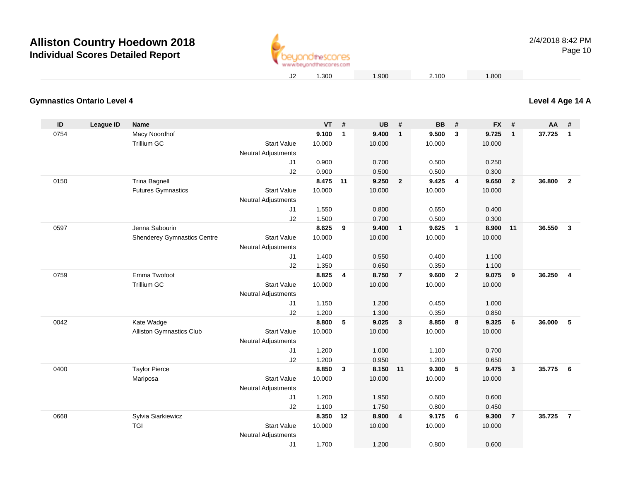

#### **Level 4 Age 14 A**

#### **Gymnastics Ontario Level 4**

| ID   | League ID | <b>Name</b>                        |                                                  | <b>VT</b> | #            | <b>UB</b> | #                       | <b>BB</b> | #              | <b>FX</b> | #              | <b>AA</b> | #              |
|------|-----------|------------------------------------|--------------------------------------------------|-----------|--------------|-----------|-------------------------|-----------|----------------|-----------|----------------|-----------|----------------|
| 0754 |           | Macy Noordhof                      |                                                  | 9.100     | $\mathbf{1}$ | 9.400     | $\overline{1}$          | 9.500     | 3              | 9.725     | $\mathbf{1}$   | 37.725    | $\overline{1}$ |
|      |           | Trillium GC                        | <b>Start Value</b>                               | 10.000    |              | 10.000    |                         | 10.000    |                | 10.000    |                |           |                |
|      |           |                                    | <b>Neutral Adjustments</b>                       |           |              |           |                         |           |                |           |                |           |                |
|      |           |                                    | J1                                               | 0.900     |              | 0.700     |                         | 0.500     |                | 0.250     |                |           |                |
|      |           |                                    | J2                                               | 0.900     |              | 0.500     |                         | 0.500     |                | 0.300     |                |           |                |
| 0150 |           | <b>Trina Bagnell</b>               |                                                  | 8.475 11  |              | 9.250     | $\overline{\mathbf{2}}$ | 9.425     | $\overline{4}$ | 9.650     | $\overline{2}$ | 36.800    | $\overline{2}$ |
|      |           | <b>Futures Gymnastics</b>          | <b>Start Value</b>                               | 10.000    |              | 10.000    |                         | 10.000    |                | 10.000    |                |           |                |
|      |           |                                    | <b>Neutral Adjustments</b>                       |           |              |           |                         |           |                |           |                |           |                |
|      |           |                                    | J1                                               | 1.550     |              | 0.800     |                         | 0.650     |                | 0.400     |                |           |                |
|      |           |                                    | J2                                               | 1.500     |              | 0.700     |                         | 0.500     |                | 0.300     |                |           |                |
| 0597 |           | Jenna Sabourin                     |                                                  | 8.625     | 9            | 9.400     | $\overline{1}$          | 9.625     | $\overline{1}$ | 8.900     | 11             | 36.550    | $\mathbf{3}$   |
|      |           | <b>Shenderey Gymnastics Centre</b> | <b>Start Value</b>                               | 10.000    |              | 10.000    |                         | 10.000    |                | 10.000    |                |           |                |
|      |           |                                    | <b>Neutral Adjustments</b>                       |           |              |           |                         |           |                |           |                |           |                |
|      |           |                                    | J1                                               | 1.400     |              | 0.550     |                         | 0.400     |                | 1.100     |                |           |                |
|      |           |                                    | J2                                               | 1.350     |              | 0.650     |                         | 0.350     |                | 1.100     |                |           |                |
| 0759 |           | Emma Twofoot                       |                                                  | 8.825     | 4            | 8.750     | $\overline{7}$          | 9.600     | $\overline{2}$ | 9.075     | 9              | 36.250    | $\overline{4}$ |
|      |           | Trillium GC                        | <b>Start Value</b>                               | 10.000    |              | 10.000    |                         | 10.000    |                | 10.000    |                |           |                |
|      |           |                                    | <b>Neutral Adjustments</b>                       |           |              |           |                         |           |                |           |                |           |                |
|      |           |                                    | J1                                               | 1.150     |              | 1.200     |                         | 0.450     |                | 1.000     |                |           |                |
|      |           |                                    | J2                                               | 1.200     |              | 1.300     |                         | 0.350     |                | 0.850     |                |           |                |
| 0042 |           | Kate Wadge                         |                                                  | 8.800     | 5            | 9.025     | $\mathbf{3}$            | 8.850     | 8              | 9.325     | 6              | 36.000    | 5              |
|      |           | Alliston Gymnastics Club           | <b>Start Value</b><br><b>Neutral Adjustments</b> | 10.000    |              | 10.000    |                         | 10.000    |                | 10.000    |                |           |                |
|      |           |                                    | J1                                               | 1.200     |              | 1.000     |                         | 1.100     |                | 0.700     |                |           |                |
|      |           |                                    | J2                                               | 1.200     |              | 0.950     |                         | 1.200     |                | 0.650     |                |           |                |
| 0400 |           | <b>Taylor Pierce</b>               |                                                  | 8.850     | $\mathbf{3}$ | 8.150     | 11                      | 9.300     | 5              | 9.475     | $\mathbf{3}$   | 35.775    | 6              |
|      |           | Mariposa                           | <b>Start Value</b>                               | 10.000    |              | 10.000    |                         | 10.000    |                | 10.000    |                |           |                |
|      |           |                                    | <b>Neutral Adjustments</b>                       |           |              |           |                         |           |                |           |                |           |                |
|      |           |                                    | J1                                               | 1.200     |              | 1.950     |                         | 0.600     |                | 0.600     |                |           |                |
|      |           |                                    | J2                                               | 1.100     |              | 1.750     |                         | 0.800     |                | 0.450     |                |           |                |
| 0668 |           | Sylvia Siarkiewicz                 |                                                  | 8.350     | 12           | 8.900     | $\overline{4}$          | 9.175     | 6              | 9.300     | $\overline{7}$ | 35.725    | $\overline{7}$ |
|      |           | TGI                                | <b>Start Value</b>                               | 10.000    |              | 10.000    |                         | 10.000    |                | 10.000    |                |           |                |
|      |           |                                    | <b>Neutral Adjustments</b>                       |           |              |           |                         |           |                |           |                |           |                |
|      |           |                                    | J1                                               | 1.700     |              | 1.200     |                         | 0.800     |                | 0.600     |                |           |                |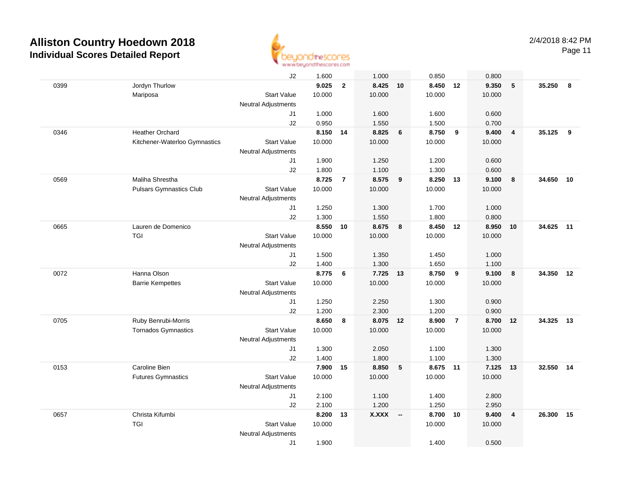

Page 11

|      |                                | J2                         | 1.600          |                | 1.000          |                          | 0.850          |                | 0.800          |                         |        |    |
|------|--------------------------------|----------------------------|----------------|----------------|----------------|--------------------------|----------------|----------------|----------------|-------------------------|--------|----|
| 0399 | Jordyn Thurlow                 |                            | 9.025          | $\overline{2}$ | 8.425          | 10                       | 8.450          | 12             | 9.350          | $\sqrt{5}$              | 35.250 | 8  |
|      | Mariposa                       | <b>Start Value</b>         | 10.000         |                | 10.000         |                          | 10.000         |                | 10.000         |                         |        |    |
|      |                                | <b>Neutral Adjustments</b> |                |                |                |                          |                |                |                |                         |        |    |
|      |                                | J1                         | 1.000          |                | 1.600          |                          | 1.600          |                | 0.600          |                         |        |    |
|      |                                | J2                         | 0.950          |                | 1.550          |                          | 1.500          |                | 0.700          |                         |        |    |
| 0346 | <b>Heather Orchard</b>         |                            | 8.150          | 14             | 8.825          | 6                        | 8.750          | 9              | 9.400          | $\overline{4}$          | 35.125 | 9  |
|      | Kitchener-Waterloo Gymnastics  | <b>Start Value</b>         | 10.000         |                | 10.000         |                          | 10.000         |                | 10.000         |                         |        |    |
|      |                                | <b>Neutral Adjustments</b> |                |                |                |                          |                |                |                |                         |        |    |
|      |                                | J1                         | 1.900          |                | 1.250          |                          | 1.200          |                | 0.600          |                         |        |    |
|      |                                | J2                         | 1.800          |                | 1.100          |                          | 1.300          |                | 0.600          |                         |        |    |
| 0569 | Maliha Shrestha                |                            | 8.725          | $\overline{7}$ | 8.575          | 9                        | 8.250          | 13             | 9.100          | 8                       | 34.650 | 10 |
|      | <b>Pulsars Gymnastics Club</b> | <b>Start Value</b>         | 10.000         |                | 10.000         |                          | 10.000         |                | 10.000         |                         |        |    |
|      |                                | <b>Neutral Adjustments</b> |                |                |                |                          |                |                |                |                         |        |    |
|      |                                | J1<br>J2                   | 1.250<br>1.300 |                | 1.300<br>1.550 |                          | 1.700<br>1.800 |                | 1.000<br>0.800 |                         |        |    |
| 0665 | Lauren de Domenico             |                            | 8.550          | 10             | 8.675          | 8                        | 8.450 12       |                | 8.950 10       |                         | 34.625 | 11 |
|      | <b>TGI</b>                     | <b>Start Value</b>         | 10.000         |                | 10.000         |                          | 10.000         |                | 10.000         |                         |        |    |
|      |                                | <b>Neutral Adjustments</b> |                |                |                |                          |                |                |                |                         |        |    |
|      |                                | J1                         | 1.500          |                | 1.350          |                          | 1.450          |                | 1.000          |                         |        |    |
|      |                                | J2                         | 1.400          |                | 1.300          |                          | 1.650          |                | 1.100          |                         |        |    |
| 0072 | Hanna Olson                    |                            | 8.775          | 6              | 7.725          | 13                       | 8.750          | 9              | 9.100          | 8                       | 34.350 | 12 |
|      | <b>Barrie Kempettes</b>        | <b>Start Value</b>         | 10.000         |                | 10.000         |                          | 10.000         |                | 10.000         |                         |        |    |
|      |                                | Neutral Adjustments        |                |                |                |                          |                |                |                |                         |        |    |
|      |                                | J1                         | 1.250          |                | 2.250          |                          | 1.300          |                | 0.900          |                         |        |    |
|      |                                | J2                         | 1.200          |                | 2.300          |                          | 1.200          |                | 0.900          |                         |        |    |
| 0705 | Ruby Benrubi-Morris            |                            | 8.650          | 8              | 8.075 12       |                          | 8.900          | $\overline{7}$ | 8.700          | 12                      | 34.325 | 13 |
|      | <b>Tornados Gymnastics</b>     | <b>Start Value</b>         | 10.000         |                | 10.000         |                          | 10.000         |                | 10.000         |                         |        |    |
|      |                                | Neutral Adjustments        |                |                |                |                          |                |                |                |                         |        |    |
|      |                                | J1                         | 1.300          |                | 2.050          |                          | 1.100          |                | 1.300          |                         |        |    |
|      |                                | J2                         | 1.400          |                | 1.800          |                          | 1.100          |                | 1.300          |                         |        |    |
| 0153 | Caroline Bien                  |                            | 7.900          | 15             | 8.850          | 5                        | 8.675 11       |                | 7.125 13       |                         | 32.550 | 14 |
|      | <b>Futures Gymnastics</b>      | <b>Start Value</b>         | 10.000         |                | 10.000         |                          | 10.000         |                | 10.000         |                         |        |    |
|      |                                | <b>Neutral Adjustments</b> |                |                |                |                          |                |                |                |                         |        |    |
|      |                                | J1                         | 2.100          |                | 1.100          |                          | 1.400          |                | 2.800          |                         |        |    |
|      |                                | J2                         | 2.100          |                | 1.200          |                          | 1.250          |                | 2.950          |                         |        |    |
| 0657 | Christa Kifumbi                |                            | 8.200          | 13             | <b>X.XXX</b>   | $\overline{\phantom{a}}$ | 8.700          | 10             | 9.400          | $\overline{\mathbf{4}}$ | 26.300 | 15 |
|      | <b>TGI</b>                     | <b>Start Value</b>         | 10.000         |                |                |                          | 10.000         |                | 10.000         |                         |        |    |
|      |                                | <b>Neutral Adjustments</b> |                |                |                |                          |                |                |                |                         |        |    |
|      |                                | J1                         | 1.900          |                |                |                          | 1.400          |                | 0.500          |                         |        |    |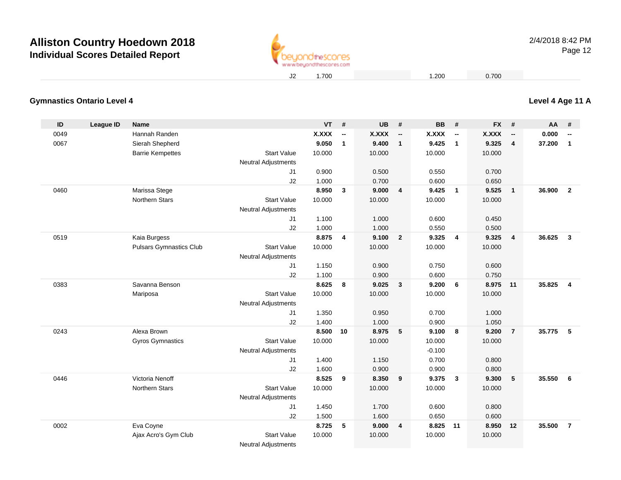

#### **Level 4 Age 11 A**

#### **Gymnastics Ontario Level 4**

| ID   | <b>League ID</b> | <b>Name</b>                    |                            | <b>VT</b>    | #            | <b>UB</b>    | #                        | <b>BB</b>    | #                        | <b>FX</b>    | #                        | <b>AA</b> | #                        |
|------|------------------|--------------------------------|----------------------------|--------------|--------------|--------------|--------------------------|--------------|--------------------------|--------------|--------------------------|-----------|--------------------------|
| 0049 |                  | Hannah Randen                  |                            | <b>X.XXX</b> | --           | <b>X.XXX</b> | $\overline{\phantom{a}}$ | <b>X.XXX</b> | $\overline{\phantom{a}}$ | <b>X.XXX</b> | $\overline{\phantom{a}}$ | 0.000     | $\overline{\phantom{a}}$ |
| 0067 |                  | Sierah Shepherd                |                            | 9.050        | $\mathbf{1}$ | 9.400        | $\mathbf{1}$             | 9.425        | $\mathbf{1}$             | 9.325        | 4                        | 37.200    | $\mathbf{1}$             |
|      |                  | <b>Barrie Kempettes</b>        | <b>Start Value</b>         | 10.000       |              | 10.000       |                          | 10.000       |                          | 10.000       |                          |           |                          |
|      |                  |                                | <b>Neutral Adjustments</b> |              |              |              |                          |              |                          |              |                          |           |                          |
|      |                  |                                | J1                         | 0.900        |              | 0.500        |                          | 0.550        |                          | 0.700        |                          |           |                          |
|      |                  |                                | J2                         | 1.000        |              | 0.700        |                          | 0.600        |                          | 0.650        |                          |           |                          |
| 0460 |                  | Marissa Stege                  |                            | 8.950        | $\mathbf{3}$ | 9.000        | $\overline{4}$           | 9.425        | $\overline{\mathbf{1}}$  | 9.525        | $\mathbf{1}$             | 36.900    | $\overline{2}$           |
|      |                  | Northern Stars                 | <b>Start Value</b>         | 10.000       |              | 10.000       |                          | 10.000       |                          | 10.000       |                          |           |                          |
|      |                  |                                | <b>Neutral Adjustments</b> |              |              |              |                          |              |                          |              |                          |           |                          |
|      |                  |                                | J1                         | 1.100        |              | 1.000        |                          | 0.600        |                          | 0.450        |                          |           |                          |
|      |                  |                                | J2                         | 1.000        |              | 1.000        |                          | 0.550        |                          | 0.500        |                          |           |                          |
| 0519 |                  | Kaia Burgess                   |                            | 8.875        | 4            | 9.100        | $\overline{2}$           | 9.325        | $\overline{4}$           | 9.325        | $\overline{4}$           | 36.625    | $\overline{3}$           |
|      |                  | <b>Pulsars Gymnastics Club</b> | <b>Start Value</b>         | 10.000       |              | 10.000       |                          | 10.000       |                          | 10.000       |                          |           |                          |
|      |                  |                                | <b>Neutral Adjustments</b> |              |              |              |                          |              |                          |              |                          |           |                          |
|      |                  |                                | J1                         | 1.150        |              | 0.900        |                          | 0.750        |                          | 0.600        |                          |           |                          |
|      |                  |                                | J2                         | 1.100        |              | 0.900        |                          | 0.600        |                          | 0.750        |                          |           |                          |
| 0383 |                  | Savanna Benson                 |                            | 8.625        | 8            | 9.025        | $\mathbf{3}$             | 9.200        | 6                        | 8.975        | 11                       | 35.825    | $\overline{4}$           |
|      |                  | Mariposa                       | <b>Start Value</b>         | 10.000       |              | 10.000       |                          | 10.000       |                          | 10.000       |                          |           |                          |
|      |                  |                                | <b>Neutral Adjustments</b> |              |              |              |                          |              |                          |              |                          |           |                          |
|      |                  |                                | J1                         | 1.350        |              | 0.950        |                          | 0.700        |                          | 1.000        |                          |           |                          |
|      |                  |                                | J2                         | 1.400        |              | 1.000        |                          | 0.900        |                          | 1.050        |                          |           |                          |
| 0243 |                  | Alexa Brown                    |                            | 8.500        | 10           | 8.975        | $-5$                     | 9.100        | 8                        | 9.200        | $\overline{7}$           | 35.775    | 5                        |
|      |                  | <b>Gyros Gymnastics</b>        | <b>Start Value</b>         | 10.000       |              | 10.000       |                          | 10.000       |                          | 10.000       |                          |           |                          |
|      |                  |                                | <b>Neutral Adjustments</b> |              |              |              |                          | $-0.100$     |                          |              |                          |           |                          |
|      |                  |                                | J1                         | 1.400        |              | 1.150        |                          | 0.700        |                          | 0.800        |                          |           |                          |
|      |                  |                                | J2                         | 1.600        |              | 0.900        |                          | 0.900        |                          | 0.800        |                          |           |                          |
| 0446 |                  | Victoria Nenoff                |                            | 8.525        | 9            | 8.350        | 9                        | 9.375        | $\mathbf{3}$             | 9.300        | $\sqrt{5}$               | 35.550    | 6                        |
|      |                  | <b>Northern Stars</b>          | <b>Start Value</b>         | 10.000       |              | 10.000       |                          | 10.000       |                          | 10.000       |                          |           |                          |
|      |                  |                                | <b>Neutral Adjustments</b> |              |              |              |                          |              |                          |              |                          |           |                          |
|      |                  |                                | J <sub>1</sub>             | 1.450        |              | 1.700        |                          | 0.600        |                          | 0.800        |                          |           |                          |
|      |                  |                                | J2                         | 1.500        |              | 1.600        |                          | 0.650        |                          | 0.600        |                          |           |                          |
| 0002 |                  | Eva Coyne                      |                            | 8.725        | 5            | 9.000        | $\overline{4}$           | 8.825        | 11                       | 8.950        | 12                       | 35.500    | $\overline{7}$           |
|      |                  | Ajax Acro's Gym Club           | <b>Start Value</b>         | 10.000       |              | 10.000       |                          | 10.000       |                          | 10.000       |                          |           |                          |
|      |                  |                                | <b>Neutral Adjustments</b> |              |              |              |                          |              |                          |              |                          |           |                          |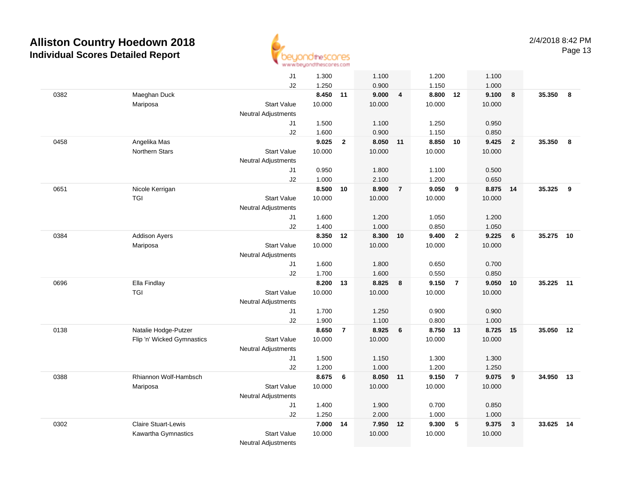

|      |                            | J1                         | 1.300          |                | 1.100          |                | 1.200             |                 | 1.100          |                         |           |    |
|------|----------------------------|----------------------------|----------------|----------------|----------------|----------------|-------------------|-----------------|----------------|-------------------------|-----------|----|
|      |                            | J2                         | 1.250          |                | 0.900          |                | 1.150             |                 | 1.000          |                         |           |    |
| 0382 | Maeghan Duck               |                            | 8.450 11       |                | 9.000          | $\overline{4}$ | 8.800 12          |                 | 9.100          | 8                       | 35.350 8  |    |
|      | Mariposa                   | <b>Start Value</b>         | 10.000         |                | 10.000         |                | 10.000            |                 | 10.000         |                         |           |    |
|      |                            | <b>Neutral Adjustments</b> |                |                |                |                |                   |                 |                |                         |           |    |
|      |                            | J1                         | 1.500          |                | 1.100          |                | 1.250             |                 | 0.950          |                         |           |    |
|      |                            | J2                         | 1.600          |                | 0.900          |                | 1.150             |                 | 0.850          |                         |           |    |
| 0458 | Angelika Mas               |                            | 9.025          | $\overline{2}$ | 8.050          | 11             | 8.850             | 10              | 9.425          | $\overline{2}$          | 35.350    | 8  |
|      | <b>Northern Stars</b>      | <b>Start Value</b>         | 10.000         |                | 10.000         |                | 10.000            |                 | 10.000         |                         |           |    |
|      |                            | <b>Neutral Adjustments</b> |                |                |                |                |                   |                 |                |                         |           |    |
|      |                            | J1                         | 0.950          |                | 1.800          |                | 1.100             |                 | 0.500          |                         |           |    |
|      |                            | J2                         | 1.000          |                | 2.100          |                | 1.200             |                 | 0.650          |                         |           |    |
| 0651 | Nicole Kerrigan            |                            | 8.500          | 10             | 8.900          | $\overline{7}$ | 9.050             | 9               | 8.875          | 14                      | 35.325    | 9  |
|      | <b>TGI</b>                 | <b>Start Value</b>         | 10.000         |                | 10.000         |                | 10.000            |                 | 10.000         |                         |           |    |
|      |                            | <b>Neutral Adjustments</b> |                |                |                |                |                   |                 |                |                         |           |    |
|      |                            | J1                         | 1.600          |                | 1.200          |                | 1.050             |                 | 1.200          |                         |           |    |
|      |                            | J2                         | 1.400          |                | 1.000          |                | 0.850             |                 | 1.050          |                         |           |    |
| 0384 | <b>Addison Ayers</b>       |                            | 8.350 12       |                | 8.300          | 10             | 9.400             | $\overline{2}$  | 9.225          | $6\phantom{1}6$         | 35.275    | 10 |
|      | Mariposa                   | <b>Start Value</b>         | 10.000         |                | 10.000         |                | 10.000            |                 | 10.000         |                         |           |    |
|      |                            | <b>Neutral Adjustments</b> |                |                |                |                |                   |                 |                |                         |           |    |
|      |                            | J1                         | 1.600          |                | 1.800          |                | 0.650             |                 | 0.700          |                         |           |    |
|      |                            | J2                         | 1.700          |                | 1.600          |                | 0.550             |                 | 0.850          |                         |           |    |
| 0696 | Ella Findlay               |                            | 8.200          | 13             | 8.825          | 8              | 9.150             | $\overline{7}$  | 9.050          | 10                      | 35.225    | 11 |
|      | <b>TGI</b>                 | <b>Start Value</b>         | 10.000         |                | 10.000         |                | 10.000            |                 | 10.000         |                         |           |    |
|      |                            | <b>Neutral Adjustments</b> |                |                |                |                |                   |                 |                |                         |           |    |
|      |                            | J1                         | 1.700          |                | 1.250          |                | 0.900             |                 | 0.900          |                         |           |    |
| 0138 | Natalie Hodge-Putzer       | J2                         | 1.900<br>8.650 | $\overline{7}$ | 1.100<br>8.925 | 6              | 0.800<br>8.750 13 |                 | 1.000<br>8.725 | 15                      | 35.050    | 12 |
|      | Flip 'n' Wicked Gymnastics | <b>Start Value</b>         | 10.000         |                | 10.000         |                | 10.000            |                 | 10.000         |                         |           |    |
|      |                            | <b>Neutral Adjustments</b> |                |                |                |                |                   |                 |                |                         |           |    |
|      |                            | J1                         | 1.500          |                | 1.150          |                | 1.300             |                 | 1.300          |                         |           |    |
|      |                            | J2                         | 1.200          |                | 1.000          |                | 1.200             |                 | 1.250          |                         |           |    |
| 0388 | Rhiannon Wolf-Hambsch      |                            | 8.675          | 6              | 8.050 11       |                | 9.150             | $\overline{7}$  | 9.075          | 9                       | 34.950 13 |    |
|      | Mariposa                   | <b>Start Value</b>         | 10.000         |                | 10.000         |                | 10.000            |                 | 10.000         |                         |           |    |
|      |                            | <b>Neutral Adjustments</b> |                |                |                |                |                   |                 |                |                         |           |    |
|      |                            | J1                         | 1.400          |                | 1.900          |                | 0.700             |                 | 0.850          |                         |           |    |
|      |                            | J2                         | 1.250          |                | 2.000          |                | 1.000             |                 | 1.000          |                         |           |    |
| 0302 | <b>Claire Stuart-Lewis</b> |                            | 7.000          | 14             | 7.950          | 12             | 9.300             | $5\phantom{.0}$ | 9.375          | $\overline{\mathbf{3}}$ | 33.625    | 14 |
|      | Kawartha Gymnastics        | <b>Start Value</b>         | 10.000         |                | 10.000         |                | 10.000            |                 | 10.000         |                         |           |    |
|      |                            | <b>Neutral Adjustments</b> |                |                |                |                |                   |                 |                |                         |           |    |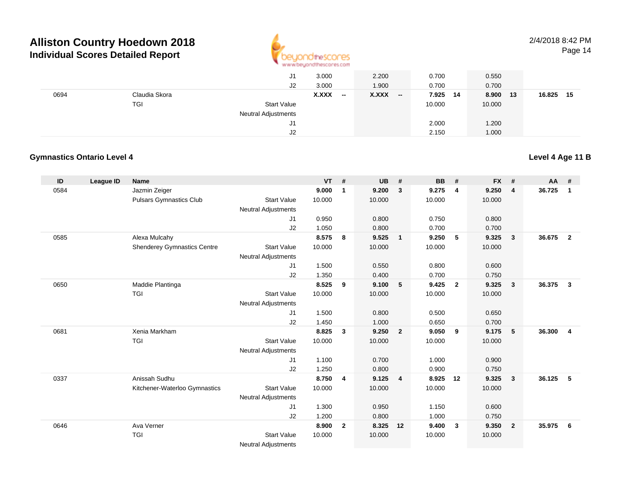

## 2/4/2018 8:42 PM

Page 14

|      |               | J1                         | 3.000                             | 2.200          | 0.700         | 0.550       |                |
|------|---------------|----------------------------|-----------------------------------|----------------|---------------|-------------|----------------|
|      |               | J2                         | 3.000                             | 1.900          | 0.700         | 0.700       |                |
| 0694 | Claudia Skora |                            | X.XXX<br>$\overline{\phantom{a}}$ | X.XXX<br>$- -$ | 7.925<br>- 14 | 8.900<br>13 | 16.825<br>- 15 |
|      | TGI           | <b>Start Value</b>         |                                   |                | 10.000        | 10.000      |                |
|      |               | <b>Neutral Adjustments</b> |                                   |                |               |             |                |
|      |               | J1                         |                                   |                | 2.000         | 1.200       |                |
|      |               | J <sub>2</sub>             |                                   |                | 2.150         | 1.000       |                |

#### **Gymnastics Ontario Level 4**

| ID   | League ID | <b>Name</b>                        |                            | <b>VT</b> | #                       | <b>UB</b> | #              | <b>BB</b> | #              | <b>FX</b> | #                       | AA     | #              |
|------|-----------|------------------------------------|----------------------------|-----------|-------------------------|-----------|----------------|-----------|----------------|-----------|-------------------------|--------|----------------|
| 0584 |           | Jazmin Zeiger                      |                            | 9.000     | $\mathbf 1$             | 9.200     | 3              | 9.275     | $\overline{4}$ | 9.250     | $\overline{4}$          | 36.725 | $\overline{1}$ |
|      |           | <b>Pulsars Gymnastics Club</b>     | <b>Start Value</b>         | 10.000    |                         | 10.000    |                | 10.000    |                | 10.000    |                         |        |                |
|      |           |                                    | <b>Neutral Adjustments</b> |           |                         |           |                |           |                |           |                         |        |                |
|      |           |                                    | J <sub>1</sub>             | 0.950     |                         | 0.800     |                | 0.750     |                | 0.800     |                         |        |                |
|      |           |                                    | J2                         | 1.050     |                         | 0.800     |                | 0.700     |                | 0.700     |                         |        |                |
| 0585 |           | Alexa Mulcahy                      |                            | 8.575     | 8                       | 9.525     | $\overline{1}$ | 9.250     | 5              | 9.325     | $\overline{\mathbf{3}}$ | 36.675 | $\overline{2}$ |
|      |           | <b>Shenderey Gymnastics Centre</b> | <b>Start Value</b>         | 10.000    |                         | 10.000    |                | 10.000    |                | 10.000    |                         |        |                |
|      |           |                                    | <b>Neutral Adjustments</b> |           |                         |           |                |           |                |           |                         |        |                |
|      |           |                                    | J <sub>1</sub>             | 1.500     |                         | 0.550     |                | 0.800     |                | 0.600     |                         |        |                |
|      |           |                                    | J2                         | 1.350     |                         | 0.400     |                | 0.700     |                | 0.750     |                         |        |                |
| 0650 |           | Maddie Plantinga                   |                            | 8.525     | 9                       | 9.100     | 5              | 9.425     | $\overline{2}$ | 9.325     | $\overline{\mathbf{3}}$ | 36.375 | $\mathbf{3}$   |
|      |           | <b>TGI</b>                         | <b>Start Value</b>         | 10.000    |                         | 10.000    |                | 10.000    |                | 10.000    |                         |        |                |
|      |           |                                    | <b>Neutral Adjustments</b> |           |                         |           |                |           |                |           |                         |        |                |
|      |           |                                    | J <sub>1</sub>             | 1.500     |                         | 0.800     |                | 0.500     |                | 0.650     |                         |        |                |
|      |           |                                    | J2                         | 1.450     |                         | 1.000     |                | 0.650     |                | 0.700     |                         |        |                |
| 0681 |           | Xenia Markham                      |                            | 8.825     | $\mathbf{3}$            | 9.250     | $\overline{2}$ | 9.050     | 9              | 9.175     | 5                       | 36.300 | $\overline{4}$ |
|      |           | <b>TGI</b>                         | <b>Start Value</b>         | 10.000    |                         | 10.000    |                | 10.000    |                | 10.000    |                         |        |                |
|      |           |                                    | <b>Neutral Adjustments</b> |           |                         |           |                |           |                |           |                         |        |                |
|      |           |                                    | J <sub>1</sub>             | 1.100     |                         | 0.700     |                | 1.000     |                | 0.900     |                         |        |                |
|      |           |                                    | J2                         | 1.250     |                         | 0.800     |                | 0.900     |                | 0.750     |                         |        |                |
| 0337 |           | Anissah Sudhu                      |                            | 8.750     | $\overline{\mathbf{4}}$ | 9.125     | $\overline{4}$ | 8.925     | 12             | 9.325     | $\overline{\mathbf{3}}$ | 36.125 | - 5            |
|      |           | Kitchener-Waterloo Gymnastics      | <b>Start Value</b>         | 10.000    |                         | 10.000    |                | 10.000    |                | 10.000    |                         |        |                |
|      |           |                                    | <b>Neutral Adjustments</b> |           |                         |           |                |           |                |           |                         |        |                |
|      |           |                                    | J <sub>1</sub>             | 1.300     |                         | 0.950     |                | 1.150     |                | 0.600     |                         |        |                |
|      |           |                                    | J2                         | 1.200     |                         | 0.800     |                | 1.000     |                | 0.750     |                         |        |                |
| 0646 |           | Ava Verner                         |                            | 8.900     | $\overline{2}$          | 8.325     | 12             | 9.400     | $\mathbf{3}$   | 9.350     | $\overline{\mathbf{2}}$ | 35.975 | 6              |
|      |           | <b>TGI</b>                         | <b>Start Value</b>         | 10.000    |                         | 10.000    |                | 10.000    |                | 10.000    |                         |        |                |
|      |           |                                    | Nautral Adjustmants        |           |                         |           |                |           |                |           |                         |        |                |

Neutral Adjustments

#### **Level 4 Age 11 B**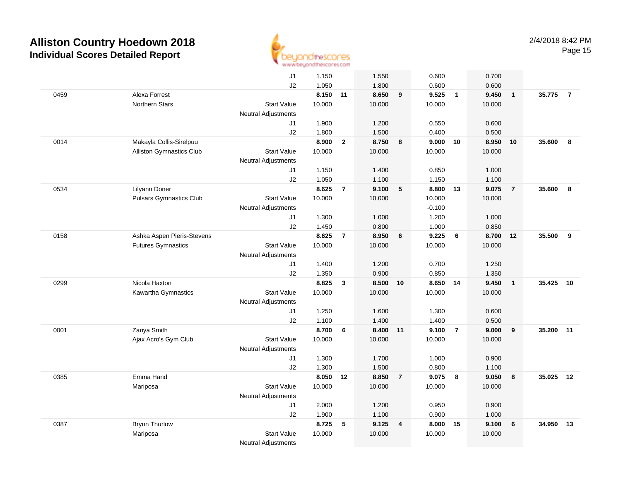

|      |                                | J1                         | 1.150          |                | 1.550          |                | 0.600          |                         | 0.700          |                |        |                |
|------|--------------------------------|----------------------------|----------------|----------------|----------------|----------------|----------------|-------------------------|----------------|----------------|--------|----------------|
|      |                                | J2                         | 1.050          |                | 1.800          |                | 0.600          |                         | 0.600          |                |        |                |
| 0459 | Alexa Forrest                  |                            | 8.150 11       |                | 8.650          | 9              | 9.525          | $\overline{\mathbf{1}}$ | 9.450          | $\mathbf{1}$   | 35.775 | $\overline{7}$ |
|      | <b>Northern Stars</b>          | <b>Start Value</b>         | 10.000         |                | 10.000         |                | 10.000         |                         | 10.000         |                |        |                |
|      |                                | <b>Neutral Adjustments</b> |                |                |                |                |                |                         |                |                |        |                |
|      |                                | J1                         | 1.900          |                | 1.200          |                | 0.550          |                         | 0.600          |                |        |                |
|      |                                | J2                         | 1.800          |                | 1.500          |                | 0.400          |                         | 0.500          |                |        |                |
| 0014 | Makayla Collis-Sirelpuu        |                            | 8.900          | $\overline{2}$ | 8.750          | 8              | 9.000          | 10                      | 8.950          | 10             | 35.600 | 8              |
|      | Alliston Gymnastics Club       | <b>Start Value</b>         | 10.000         |                | 10.000         |                | 10.000         |                         | 10.000         |                |        |                |
|      |                                | <b>Neutral Adjustments</b> |                |                |                |                |                |                         |                |                |        |                |
|      |                                | J1                         | 1.150          |                | 1.400          |                | 0.850          |                         | 1.000          |                |        |                |
|      |                                | J2                         | 1.050          |                | 1.100          |                | 1.150          |                         | 1.100          |                |        |                |
| 0534 | Lilyann Doner                  |                            | 8.625          | $\overline{7}$ | 9.100          | 5              | 8.800          | 13                      | 9.075          | $\overline{7}$ | 35.600 | 8              |
|      | <b>Pulsars Gymnastics Club</b> | <b>Start Value</b>         | 10.000         |                | 10.000         |                | 10.000         |                         | 10.000         |                |        |                |
|      |                                | <b>Neutral Adjustments</b> |                |                |                |                | $-0.100$       |                         |                |                |        |                |
|      |                                | J1<br>J2                   | 1.300<br>1.450 |                | 1.000<br>0.800 |                | 1.200<br>1.000 |                         | 1.000<br>0.850 |                |        |                |
| 0158 | Ashka Aspen Pieris-Stevens     |                            | 8.625          | $\overline{7}$ | 8.950          | 6              | 9.225          | 6                       | 8.700          | 12             | 35.500 | 9              |
|      | <b>Futures Gymnastics</b>      | <b>Start Value</b>         | 10.000         |                | 10.000         |                | 10.000         |                         | 10.000         |                |        |                |
|      |                                | <b>Neutral Adjustments</b> |                |                |                |                |                |                         |                |                |        |                |
|      |                                | J1                         | 1.400          |                | 1.200          |                | 0.700          |                         | 1.250          |                |        |                |
|      |                                | J2                         | 1.350          |                | 0.900          |                | 0.850          |                         | 1.350          |                |        |                |
| 0299 | Nicola Haxton                  |                            | 8.825          | $\mathbf{3}$   | 8.500          | 10             | 8.650          | 14                      | 9.450          | $\mathbf{1}$   | 35.425 | 10             |
|      | Kawartha Gymnastics            | <b>Start Value</b>         | 10.000         |                | 10.000         |                | 10.000         |                         | 10.000         |                |        |                |
|      |                                | <b>Neutral Adjustments</b> |                |                |                |                |                |                         |                |                |        |                |
|      |                                | J1                         | 1.250          |                | 1.600          |                | 1.300          |                         | 0.600          |                |        |                |
|      |                                | J2                         | 1.100          |                | 1.400          |                | 1.400          |                         | 0.500          |                |        |                |
| 0001 | Zariya Smith                   |                            | 8.700          | 6              | 8.400          | $-11$          | 9.100          | $\overline{7}$          | 9.000          | 9              | 35.200 | 11             |
|      | Ajax Acro's Gym Club           | <b>Start Value</b>         | 10.000         |                | 10.000         |                | 10.000         |                         | 10.000         |                |        |                |
|      |                                | <b>Neutral Adjustments</b> |                |                |                |                |                |                         |                |                |        |                |
|      |                                | J1                         | 1.300          |                | 1.700          |                | 1.000          |                         | 0.900          |                |        |                |
|      |                                | J2                         | 1.300          |                | 1.500          |                | 0.800          |                         | 1.100          |                |        |                |
| 0385 | Emma Hand                      |                            | 8.050          | 12             | 8.850          | $\overline{7}$ | 9.075          | 8                       | 9.050          | 8              | 35.025 | 12             |
|      | Mariposa                       | <b>Start Value</b>         | 10.000         |                | 10.000         |                | 10.000         |                         | 10.000         |                |        |                |
|      |                                | <b>Neutral Adjustments</b> |                |                |                |                |                |                         |                |                |        |                |
|      |                                | J1                         | 2.000          |                | 1.200          |                | 0.950          |                         | 0.900          |                |        |                |
|      |                                | J2                         | 1.900          |                | 1.100          |                | 0.900          |                         | 1.000          |                |        |                |
| 0387 | <b>Brynn Thurlow</b>           |                            | 8.725          | 5              | 9.125          | $\overline{4}$ | 8.000          | 15                      | 9.100          | $\bf 6$        | 34.950 | 13             |
|      | Mariposa                       | <b>Start Value</b>         | 10.000         |                | 10.000         |                | 10.000         |                         | 10.000         |                |        |                |
|      |                                | <b>Neutral Adjustments</b> |                |                |                |                |                |                         |                |                |        |                |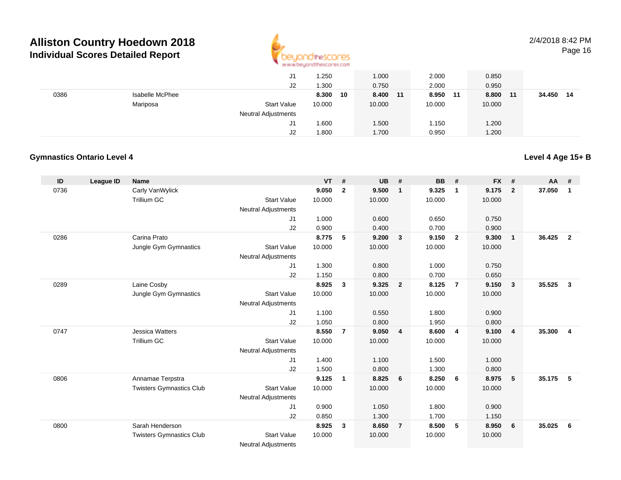

2/4/2018 8:42 PMPage 16

|      |                 | J1                         | .250        | 1.000    | 2.000         | 0.850       |           |
|------|-----------------|----------------------------|-------------|----------|---------------|-------------|-----------|
|      |                 | J <sub>2</sub>             | 1.300       | 0.750    | 2.000         | 0.950       |           |
| 0386 | Isabelle McPhee |                            | 8.300<br>10 | 8.400 11 | 8.950<br>- 11 | 8.800<br>11 | 34.450 14 |
|      | Mariposa        | <b>Start Value</b>         | 10.000      | 10.000   | 10.000        | 10.000      |           |
|      |                 | <b>Neutral Adjustments</b> |             |          |               |             |           |
|      |                 | J1                         | 1.600       | 1.500    | l.150         | 1.200       |           |
|      |                 | J2                         | 1.800       | 1.700    | 0.950         | 1.200       |           |

#### **Gymnastics Ontario Level 4**

#### **ID League ID Name VT # UB # BB # FX # AA #** 0736 Carly VanWylick **9.050 <sup>2</sup> 9.500 <sup>1</sup> 9.325 <sup>1</sup> 9.175 <sup>2</sup> 37.050 <sup>1</sup>** Trillium GCC 313 Start Value 10.000 10.000 10.000 10.000 10.000 Neutral Adjustments J1 1.000 0.600 0.650 0.750 J2 0.900 0.400 0.700 0.900 0286 Carina Prato **8.775 <sup>5</sup> 9.200 <sup>3</sup> 9.150 <sup>2</sup> 9.300 <sup>1</sup> 36.425 <sup>2</sup>** Jungle Gym Gymnastics Start Valuee 10.000 10.000 10.000 10.000 Neutral Adjustments J1 1.300 0.800 1.000 0.750 J2 1.150 0.800 0.700 0.650 0289 Laine Cosby **8.925 <sup>3</sup> 9.325 <sup>2</sup> 8.125 <sup>7</sup> 9.150 <sup>3</sup> 35.525 <sup>3</sup>** Jungle Gym Gymnastics Start Valuee 10.000 10.000 10.000 10.000 Neutral Adjustments J1 1.100 0.550 1.800 0.900 J2 1.050 0.800 1.950 0.800 0747 Jessica Watters **8.550 <sup>7</sup> 9.050 <sup>4</sup> 8.600 <sup>4</sup> 9.100 <sup>4</sup> 35.300 <sup>4</sup>** Trillium GCC 313 Start Value 10.000 10.000 10.000 10.000 10.000 Neutral Adjustments J1 1.400 1.100 1.500 1.000 J2 1.500 0.800 1.300 0.800 0806 Annamae Terpstra **9.125 <sup>1</sup> 8.825 <sup>6</sup> 8.250 <sup>6</sup> 8.975 <sup>5</sup> 35.175 <sup>5</sup>** Twisters Gymnastics Clubb 3tart Value 10.000 10.000 10.000 10.000 10.000 Neutral Adjustments J1 0.900 1.050 1.800 0.900 J2 0.850 1.300 1.700 1.150 0800 Sarah Henderson **8.925 <sup>3</sup> 8.650 <sup>7</sup> 8.500 <sup>5</sup> 8.950 <sup>6</sup> 35.025 <sup>6</sup>** Twisters Gymnastics Clubb 3tart Value 10.000 10.000 10.000 10.000 10.000

Neutral Adjustments

#### **Level 4 Age 15+ B**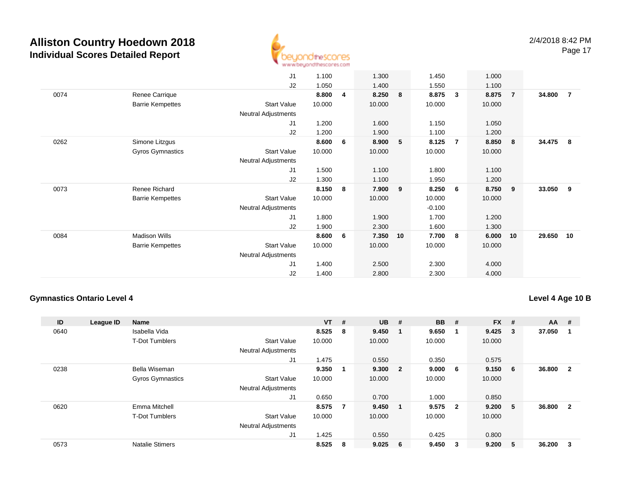

|      |                         | J1                         | 1.100  |   | 1.300  |                | 1.450    |                | 1.000  |                |        |                |
|------|-------------------------|----------------------------|--------|---|--------|----------------|----------|----------------|--------|----------------|--------|----------------|
|      |                         | J2                         | 1.050  |   | 1.400  |                | 1.550    |                | 1.100  |                |        |                |
| 0074 | Renee Carrique          |                            | 8.800  | 4 | 8.250  | 8              | 8.875    | $\mathbf{3}$   | 8.875  | $\overline{7}$ | 34.800 | $\overline{7}$ |
|      | <b>Barrie Kempettes</b> | <b>Start Value</b>         | 10.000 |   | 10.000 |                | 10.000   |                | 10.000 |                |        |                |
|      |                         | Neutral Adjustments        |        |   |        |                |          |                |        |                |        |                |
|      |                         | J1                         | 1.200  |   | 1.600  |                | 1.150    |                | 1.050  |                |        |                |
|      |                         | J2                         | 1.200  |   | 1.900  |                | 1.100    |                | 1.200  |                |        |                |
| 0262 | Simone Litzgus          |                            | 8.600  | 6 | 8.900  | 5 <sup>5</sup> | 8.125    | $\overline{7}$ | 8.850  | 8              | 34.475 | -8             |
|      | Gyros Gymnastics        | <b>Start Value</b>         | 10.000 |   | 10.000 |                | 10.000   |                | 10.000 |                |        |                |
|      |                         | <b>Neutral Adjustments</b> |        |   |        |                |          |                |        |                |        |                |
|      |                         | J1                         | 1.500  |   | 1.100  |                | 1.800    |                | 1.100  |                |        |                |
|      |                         | J <sub>2</sub>             | 1.300  |   | 1.100  |                | 1.950    |                | 1.200  |                |        |                |
| 0073 | Renee Richard           |                            | 8.150  | 8 | 7.900  | 9              | 8.250    | - 6            | 8.750  | 9              | 33.050 | 9              |
|      | <b>Barrie Kempettes</b> | <b>Start Value</b>         | 10.000 |   | 10.000 |                | 10.000   |                | 10.000 |                |        |                |
|      |                         | Neutral Adjustments        |        |   |        |                | $-0.100$ |                |        |                |        |                |
|      |                         | J1                         | 1.800  |   | 1.900  |                | 1.700    |                | 1.200  |                |        |                |
|      |                         | J2                         | 1.900  |   | 2.300  |                | 1.600    |                | 1.300  |                |        |                |
| 0084 | <b>Madison Wills</b>    |                            | 8.600  | 6 | 7.350  | 10             | 7.700    | 8              | 6.000  | 10             | 29.650 | 10             |
|      | <b>Barrie Kempettes</b> | <b>Start Value</b>         | 10.000 |   | 10.000 |                | 10.000   |                | 10.000 |                |        |                |
|      |                         | Neutral Adjustments        |        |   |        |                |          |                |        |                |        |                |
|      |                         | J1                         | 1.400  |   | 2.500  |                | 2.300    |                | 4.000  |                |        |                |
|      |                         | J <sub>2</sub>             | 1.400  |   | 2.800  |                | 2.300    |                | 4.000  |                |        |                |

#### **Gymnastics Ontario Level 4**

#### **Level 4 Age 10 B**

| ID   | League ID | <b>Name</b>             |                            | $VT$ # |                | <b>UB</b> | #                       | <b>BB</b> | #                       | <b>FX</b> | #  | <b>AA</b> | #            |
|------|-----------|-------------------------|----------------------------|--------|----------------|-----------|-------------------------|-----------|-------------------------|-----------|----|-----------|--------------|
| 0640 |           | Isabella Vida           |                            | 8.525  | 8              | 9.450     |                         | 9.650     | - 1                     | 9.425     | 3  | 37.050    |              |
|      |           | <b>T-Dot Tumblers</b>   | <b>Start Value</b>         | 10.000 |                | 10.000    |                         | 10.000    |                         | 10.000    |    |           |              |
|      |           |                         | <b>Neutral Adjustments</b> |        |                |           |                         |           |                         |           |    |           |              |
|      |           |                         | J <sub>1</sub>             | 1.475  |                | 0.550     |                         | 0.350     |                         | 0.575     |    |           |              |
| 0238 |           | Bella Wiseman           |                            | 9.350  |                | 9.300     | $\overline{\mathbf{2}}$ | 9.000     | - 6                     | 9.150     | -6 | 36.800    | $\mathbf{2}$ |
|      |           | <b>Gyros Gymnastics</b> | <b>Start Value</b>         | 10.000 |                | 10.000    |                         | 10.000    |                         | 10.000    |    |           |              |
|      |           |                         | <b>Neutral Adjustments</b> |        |                |           |                         |           |                         |           |    |           |              |
|      |           |                         | J <sub>1</sub>             | 0.650  |                | 0.700     |                         | 1.000     |                         | 0.850     |    |           |              |
| 0620 |           | Emma Mitchell           |                            | 8.575  | $\overline{7}$ | 9.450     |                         | 9.575     | $\overline{\mathbf{2}}$ | 9.200     | 5  | 36,800    | $\mathbf{2}$ |
|      |           | <b>T-Dot Tumblers</b>   | <b>Start Value</b>         | 10.000 |                | 10.000    |                         | 10.000    |                         | 10.000    |    |           |              |
|      |           |                         | <b>Neutral Adjustments</b> |        |                |           |                         |           |                         |           |    |           |              |
|      |           |                         | J <sub>1</sub>             | 1.425  |                | 0.550     |                         | 0.425     |                         | 0.800     |    |           |              |
| 0573 |           | <b>Natalie Stimers</b>  |                            | 8.525  | 8              | 9.025     | 6 <sup>°</sup>          | 9.450     | - 3                     | 9.200     | 5  | 36.200    | 3            |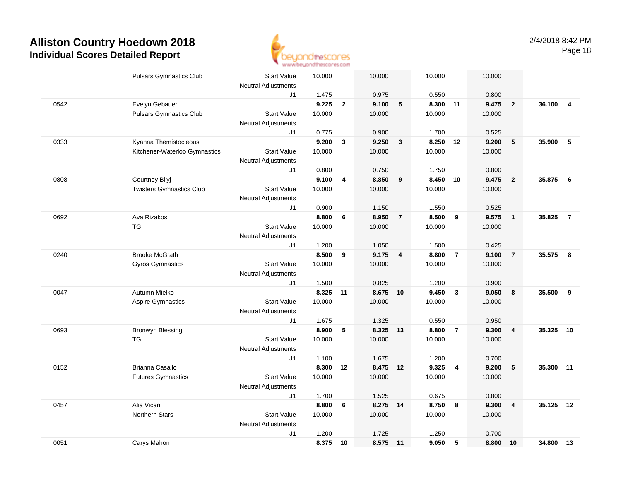

|      | <b>Pulsars Gymnastics Club</b>  | <b>Start Value</b>         | 10.000 |              | 10.000   |                | 10.000 |                | 10.000 |                         |        |                |
|------|---------------------------------|----------------------------|--------|--------------|----------|----------------|--------|----------------|--------|-------------------------|--------|----------------|
|      |                                 | <b>Neutral Adjustments</b> |        |              |          |                |        |                |        |                         |        |                |
|      |                                 | J1                         | 1.475  |              | 0.975    |                | 0.550  |                | 0.800  |                         |        |                |
| 0542 | Evelyn Gebauer                  |                            | 9.225  | $\mathbf{2}$ | 9.100    | 5              | 8.300  | 11             | 9.475  | $\overline{\mathbf{2}}$ | 36.100 | $\overline{4}$ |
|      | <b>Pulsars Gymnastics Club</b>  | <b>Start Value</b>         | 10.000 |              | 10.000   |                | 10.000 |                | 10.000 |                         |        |                |
|      |                                 | <b>Neutral Adjustments</b> |        |              |          |                |        |                |        |                         |        |                |
|      |                                 | J1                         | 0.775  |              | 0.900    |                | 1.700  |                | 0.525  |                         |        |                |
| 0333 | Kyanna Themistocleous           |                            | 9.200  | $\mathbf{3}$ | 9.250    | $\mathbf{3}$   | 8.250  | 12             | 9.200  | 5                       | 35.900 | 5              |
|      | Kitchener-Waterloo Gymnastics   | <b>Start Value</b>         | 10.000 |              | 10.000   |                | 10.000 |                | 10.000 |                         |        |                |
|      |                                 | <b>Neutral Adjustments</b> |        |              |          |                |        |                |        |                         |        |                |
|      |                                 | J1                         | 0.800  |              | 0.750    |                | 1.750  |                | 0.800  |                         |        |                |
| 0808 | Courtney Bilyj                  |                            | 9.100  | 4            | 8.850    | 9              | 8.450  | 10             | 9.475  | $\overline{2}$          | 35.875 | 6              |
|      | <b>Twisters Gymnastics Club</b> | <b>Start Value</b>         | 10.000 |              | 10.000   |                | 10.000 |                | 10.000 |                         |        |                |
|      |                                 | <b>Neutral Adjustments</b> |        |              |          |                |        |                |        |                         |        |                |
|      |                                 | J1                         | 0.900  |              | 1.150    |                | 1.550  |                | 0.525  |                         |        |                |
| 0692 | Ava Rizakos                     |                            | 8.800  | 6            | 8.950    | $\overline{7}$ | 8.500  | $_{9}$         | 9.575  | $\overline{\mathbf{1}}$ | 35.825 | $\overline{7}$ |
|      | <b>TGI</b>                      | <b>Start Value</b>         | 10.000 |              | 10.000   |                | 10.000 |                | 10.000 |                         |        |                |
|      |                                 | <b>Neutral Adjustments</b> |        |              |          |                |        |                |        |                         |        |                |
|      |                                 | J1                         | 1.200  |              | 1.050    |                | 1.500  |                | 0.425  |                         |        |                |
| 0240 | <b>Brooke McGrath</b>           |                            | 8.500  | 9            | 9.175    | $\overline{4}$ | 8.800  | $\overline{7}$ | 9.100  | $\overline{7}$          | 35.575 | 8              |
|      | Gyros Gymnastics                | <b>Start Value</b>         | 10.000 |              | 10.000   |                | 10.000 |                | 10.000 |                         |        |                |
|      |                                 | <b>Neutral Adjustments</b> |        |              |          |                |        |                |        |                         |        |                |
|      |                                 | J1                         | 1.500  |              | 0.825    |                | 1.200  |                | 0.900  |                         |        |                |
| 0047 | Autumn Mielko                   |                            | 8.325  | 11           | 8.675 10 |                | 9.450  | $\mathbf{3}$   | 9.050  | 8                       | 35.500 | 9              |
|      | Aspire Gymnastics               | <b>Start Value</b>         | 10.000 |              | 10.000   |                | 10.000 |                | 10.000 |                         |        |                |
|      |                                 | <b>Neutral Adjustments</b> |        |              |          |                |        |                |        |                         |        |                |
|      |                                 | J1                         | 1.675  |              | 1.325    |                | 0.550  |                | 0.950  |                         |        |                |
| 0693 | <b>Bronwyn Blessing</b>         |                            | 8.900  | 5            | 8.325 13 |                | 8.800  | $\overline{7}$ | 9.300  | $\overline{4}$          | 35.325 | 10             |
|      | <b>TGI</b>                      | <b>Start Value</b>         | 10.000 |              | 10.000   |                | 10.000 |                | 10.000 |                         |        |                |
|      |                                 | <b>Neutral Adjustments</b> |        |              |          |                |        |                |        |                         |        |                |
|      |                                 | J1                         | 1.100  |              | 1.675    |                | 1.200  |                | 0.700  |                         |        |                |
| 0152 | <b>Brianna Casallo</b>          |                            | 8.300  | 12           | 8.475 12 |                | 9.325  | $\overline{4}$ | 9.200  | 5                       | 35.300 | 11             |
|      | <b>Futures Gymnastics</b>       | <b>Start Value</b>         | 10.000 |              | 10.000   |                | 10.000 |                | 10.000 |                         |        |                |
|      |                                 | <b>Neutral Adjustments</b> |        |              |          |                |        |                |        |                         |        |                |
|      |                                 | J1                         | 1.700  |              | 1.525    |                | 0.675  |                | 0.800  |                         |        |                |
| 0457 | Alia Vicari                     |                            | 8.800  | 6            | 8.275 14 |                | 8.750  | 8              | 9.300  | $\overline{4}$          | 35.125 | 12             |
|      | Northern Stars                  | <b>Start Value</b>         | 10.000 |              | 10.000   |                | 10.000 |                | 10.000 |                         |        |                |
|      |                                 | <b>Neutral Adjustments</b> |        |              |          |                |        |                |        |                         |        |                |
|      |                                 | J1                         | 1.200  |              | 1.725    |                | 1.250  |                | 0.700  |                         |        |                |
| 0051 | Carys Mahon                     |                            | 8.375  | 10           | 8.575 11 |                | 9.050  | 5              | 8.800  | 10                      | 34.800 | 13             |
|      |                                 |                            |        |              |          |                |        |                |        |                         |        |                |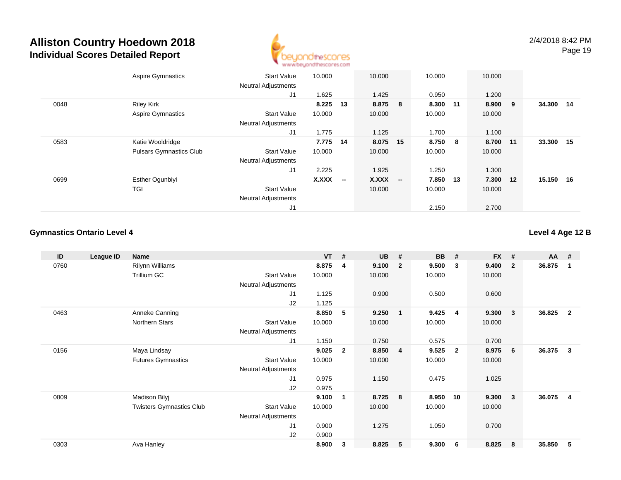

|      | <b>Aspire Gymnastics</b>       | <b>Start Value</b>         | 10.000       |                          | 10.000   |                          | 10.000  |     | 10.000 |     |        |    |
|------|--------------------------------|----------------------------|--------------|--------------------------|----------|--------------------------|---------|-----|--------|-----|--------|----|
|      |                                | <b>Neutral Adjustments</b> |              |                          |          |                          |         |     |        |     |        |    |
|      |                                | J1                         | 1.625        |                          | 1.425    |                          | 0.950   |     | 1.200  |     |        |    |
| 0048 | <b>Riley Kirk</b>              |                            | 8.225        | -13                      | 8.875    | 8                        | 8.300   | 11  | 8.900  | - 9 | 34.300 | 14 |
|      | <b>Aspire Gymnastics</b>       | <b>Start Value</b>         | 10.000       |                          | 10.000   |                          | 10.000  |     | 10.000 |     |        |    |
|      |                                | <b>Neutral Adjustments</b> |              |                          |          |                          |         |     |        |     |        |    |
|      |                                | J1                         | 1.775        |                          | 1.125    |                          | 1.700   |     | 1.100  |     |        |    |
| 0583 | Katie Wooldridge               |                            | 7.775        | 14                       | 8.075 15 |                          | 8.750 8 |     | 8.700  | 11  | 33.300 | 15 |
|      | <b>Pulsars Gymnastics Club</b> | <b>Start Value</b>         | 10.000       |                          | 10.000   |                          | 10.000  |     | 10.000 |     |        |    |
|      |                                | <b>Neutral Adjustments</b> |              |                          |          |                          |         |     |        |     |        |    |
|      |                                | J1                         | 2.225        |                          | 1.925    |                          | 1.250   |     | 1.300  |     |        |    |
| 0699 | <b>Esther Ogunbiyi</b>         |                            | <b>X.XXX</b> | $\overline{\phantom{a}}$ | X.XXX    | $\overline{\phantom{a}}$ | 7.850   | -13 | 7.300  | 12  | 15.150 | 16 |
|      | TGI                            | <b>Start Value</b>         |              |                          | 10.000   |                          | 10.000  |     | 10.000 |     |        |    |
|      |                                | <b>Neutral Adjustments</b> |              |                          |          |                          |         |     |        |     |        |    |
|      |                                | J1                         |              |                          |          |                          | 2.150   |     | 2.700  |     |        |    |

#### **Gymnastics Ontario Level 4**

**Level 4 Age 12 B**

| ID   | League ID | Name                            |                            | <b>VT</b> | #              | <b>UB</b> | #              | <b>BB</b> | #              | <b>FX</b> | #                       | AA     | #              |
|------|-----------|---------------------------------|----------------------------|-----------|----------------|-----------|----------------|-----------|----------------|-----------|-------------------------|--------|----------------|
| 0760 |           | Rilynn Williams                 |                            | 8.875     | 4              | 9.100     | $\overline{2}$ | 9.500     | 3              | 9.400     | $\overline{\mathbf{2}}$ | 36.875 | -1             |
|      |           | <b>Trillium GC</b>              | <b>Start Value</b>         | 10.000    |                | 10.000    |                | 10.000    |                | 10.000    |                         |        |                |
|      |           |                                 | <b>Neutral Adjustments</b> |           |                |           |                |           |                |           |                         |        |                |
|      |           |                                 | J1                         | 1.125     |                | 0.900     |                | 0.500     |                | 0.600     |                         |        |                |
|      |           |                                 | J2                         | 1.125     |                |           |                |           |                |           |                         |        |                |
| 0463 |           | Anneke Canning                  |                            | 8.850     | 5              | 9.250     | $\mathbf{1}$   | 9.425     | 4              | 9.300     | $\overline{\mathbf{3}}$ | 36.825 | $\overline{2}$ |
|      |           | Northern Stars                  | <b>Start Value</b>         | 10.000    |                | 10.000    |                | 10.000    |                | 10.000    |                         |        |                |
|      |           |                                 | <b>Neutral Adjustments</b> |           |                |           |                |           |                |           |                         |        |                |
|      |           |                                 | J1                         | 1.150     |                | 0.750     |                | 0.575     |                | 0.700     |                         |        |                |
| 0156 |           | Maya Lindsay                    |                            | 9.025     | $\overline{2}$ | 8.850     | $\overline{4}$ | 9.525     | $\overline{2}$ | 8.975     | 6                       | 36.375 | 3              |
|      |           | <b>Futures Gymnastics</b>       | <b>Start Value</b>         | 10.000    |                | 10.000    |                | 10.000    |                | 10.000    |                         |        |                |
|      |           |                                 | Neutral Adjustments        |           |                |           |                |           |                |           |                         |        |                |
|      |           |                                 | J1                         | 0.975     |                | 1.150     |                | 0.475     |                | 1.025     |                         |        |                |
|      |           |                                 | J2                         | 0.975     |                |           |                |           |                |           |                         |        |                |
| 0809 |           | Madison Bilyj                   |                            | 9.100     | $\mathbf{1}$   | 8.725     | 8              | 8.950     | 10             | 9.300     | $\overline{\mathbf{3}}$ | 36.075 | -4             |
|      |           | <b>Twisters Gymnastics Club</b> | <b>Start Value</b>         | 10.000    |                | 10.000    |                | 10.000    |                | 10.000    |                         |        |                |
|      |           |                                 | <b>Neutral Adjustments</b> |           |                |           |                |           |                |           |                         |        |                |
|      |           |                                 | J1                         | 0.900     |                | 1.275     |                | 1.050     |                | 0.700     |                         |        |                |
|      |           |                                 | J2                         | 0.900     |                |           |                |           |                |           |                         |        |                |
| 0303 |           | Ava Hanley                      |                            | 8.900     | 3              | 8.825     | 5              | 9.300     | - 6            | 8.825     | 8                       | 35.850 | -5             |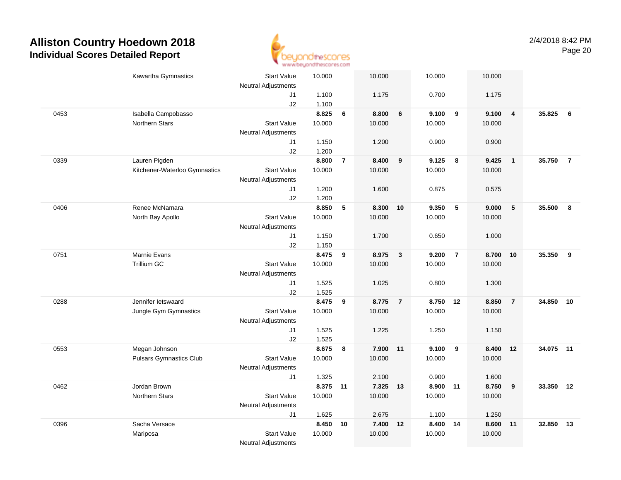

|      | Kawartha Gymnastics            | <b>Start Value</b><br><b>Neutral Adjustments</b> | 10.000         |                | 10.000   |                | 10.000   |                | 10.000   |                         |           |    |
|------|--------------------------------|--------------------------------------------------|----------------|----------------|----------|----------------|----------|----------------|----------|-------------------------|-----------|----|
|      |                                | J1<br>J2                                         | 1.100<br>1.100 |                | 1.175    |                | 0.700    |                | 1.175    |                         |           |    |
| 0453 | Isabella Campobasso            |                                                  | 8.825          | 6              | 8.800    | $\bf 6$        | 9.100    | 9              | 9.100    | $\overline{\mathbf{4}}$ | 35.825    | 6  |
|      | Northern Stars                 | <b>Start Value</b><br><b>Neutral Adjustments</b> | 10.000         |                | 10.000   |                | 10.000   |                | 10.000   |                         |           |    |
|      |                                | J1<br>J2                                         | 1.150<br>1.200 |                | 1.200    |                | 0.900    |                | 0.900    |                         |           |    |
| 0339 | Lauren Pigden                  |                                                  | 8.800          | $\overline{7}$ | 8.400    | 9              | 9.125    | 8              | 9.425    | $\overline{1}$          | 35.750 7  |    |
|      | Kitchener-Waterloo Gymnastics  | <b>Start Value</b>                               | 10.000         |                | 10.000   |                | 10.000   |                | 10.000   |                         |           |    |
|      |                                | <b>Neutral Adjustments</b>                       |                |                |          |                |          |                |          |                         |           |    |
|      |                                | J1                                               | 1.200          |                | 1.600    |                | 0.875    |                | 0.575    |                         |           |    |
|      |                                | J2                                               | 1.200          |                |          |                |          |                |          |                         |           |    |
| 0406 | Renee McNamara                 |                                                  | 8.850          | 5              | 8.300    | 10             | 9.350    | $\sqrt{5}$     | 9.000    | $\sqrt{5}$              | 35.500    | 8  |
|      | North Bay Apollo               | <b>Start Value</b>                               | 10.000         |                | 10.000   |                | 10.000   |                | 10.000   |                         |           |    |
|      |                                | <b>Neutral Adjustments</b>                       |                |                |          |                |          |                |          |                         |           |    |
|      |                                | J1                                               | 1.150          |                | 1.700    |                | 0.650    |                | 1.000    |                         |           |    |
|      |                                | J2                                               | 1.150          |                |          |                |          |                |          |                         |           |    |
| 0751 | Marnie Evans                   |                                                  | 8.475          | 9              | 8.975    | $\mathbf{3}$   | 9.200    | $\overline{7}$ | 8.700    | 10                      | 35.350    | -9 |
|      | <b>Trillium GC</b>             | <b>Start Value</b>                               | 10.000         |                | 10.000   |                | 10.000   |                | 10.000   |                         |           |    |
|      |                                | <b>Neutral Adjustments</b>                       |                |                |          |                |          |                |          |                         |           |    |
|      |                                | J1                                               | 1.525          |                | 1.025    |                | 0.800    |                | 1.300    |                         |           |    |
|      |                                | J2                                               | 1.525          |                |          |                |          |                |          |                         |           |    |
| 0288 | Jennifer letswaard             |                                                  | 8.475          | 9              | 8.775    | $\overline{7}$ | 8.750    | 12             | 8.850    | $\overline{7}$          | 34.850 10 |    |
|      | Jungle Gym Gymnastics          | <b>Start Value</b>                               | 10.000         |                | 10.000   |                | 10.000   |                | 10.000   |                         |           |    |
|      |                                | <b>Neutral Adjustments</b>                       |                |                |          |                |          |                |          |                         |           |    |
|      |                                | J1                                               | 1.525          |                | 1.225    |                | 1.250    |                | 1.150    |                         |           |    |
|      |                                | J2                                               | 1.525          |                |          |                |          |                |          |                         |           |    |
| 0553 | Megan Johnson                  |                                                  | 8.675          | 8              | 7.900 11 |                | 9.100    | 9              | 8.400    | 12                      | 34.075 11 |    |
|      | <b>Pulsars Gymnastics Club</b> | <b>Start Value</b>                               | 10.000         |                | 10.000   |                | 10.000   |                | 10.000   |                         |           |    |
|      |                                | <b>Neutral Adjustments</b>                       |                |                |          |                |          |                |          |                         |           |    |
|      |                                | J1                                               | 1.325          |                | 2.100    |                | 0.900    |                | 1.600    |                         |           |    |
| 0462 | Jordan Brown                   |                                                  | 8.375 11       |                | 7.325 13 |                | 8.900 11 |                | 8.750    | $\overline{\mathbf{9}}$ | 33.350 12 |    |
|      | Northern Stars                 | <b>Start Value</b>                               | 10.000         |                | 10.000   |                | 10.000   |                | 10.000   |                         |           |    |
|      |                                | <b>Neutral Adjustments</b>                       |                |                |          |                |          |                |          |                         |           |    |
|      |                                | J1                                               | 1.625          |                | 2.675    |                | 1.100    |                | 1.250    |                         |           |    |
| 0396 | Sacha Versace                  |                                                  | 8.450          | 10             | 7.400    | 12             | 8.400 14 |                | 8.600 11 |                         | 32.850    | 13 |
|      | Mariposa                       | <b>Start Value</b>                               | 10.000         |                | 10.000   |                | 10.000   |                | 10.000   |                         |           |    |
|      |                                | <b>Neutral Adjustments</b>                       |                |                |          |                |          |                |          |                         |           |    |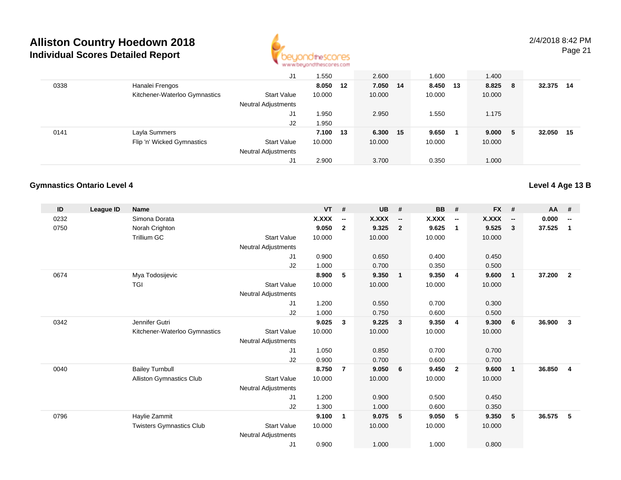

|      |                               | J1                         | .550   |     | 2.600    | 1.600  |      | 1.400  |     |        |      |
|------|-------------------------------|----------------------------|--------|-----|----------|--------|------|--------|-----|--------|------|
| 0338 | Hanalei Frengos               |                            | 8.050  | -12 | 7.050 14 | 8.450  | - 13 | 8.825  | - 8 | 32.375 | -14  |
|      | Kitchener-Waterloo Gymnastics | <b>Start Value</b>         | 10.000 |     | 10.000   | 10.000 |      | 10.000 |     |        |      |
|      |                               | <b>Neutral Adjustments</b> |        |     |          |        |      |        |     |        |      |
|      |                               | J1                         | .950   |     | 2.950    | .550   |      | 1.175  |     |        |      |
|      |                               | J2                         | 1.950  |     |          |        |      |        |     |        |      |
| 0141 | Layla Summers                 |                            | 7.100  | 13  | 6.300 15 | 9.650  |      | 9.000  | - 5 | 32.050 | - 15 |
|      | Flip 'n' Wicked Gymnastics    | <b>Start Value</b>         | 10.000 |     | 10.000   | 10.000 |      | 10.000 |     |        |      |
|      |                               | <b>Neutral Adjustments</b> |        |     |          |        |      |        |     |        |      |
|      |                               | J1                         | 2.900  |     | 3.700    | 0.350  |      | 1.000  |     |        |      |

#### **Gymnastics Ontario Level 4**

| ID   | <b>League ID</b> | <b>Name</b>                     |                            | <b>VT</b> | #                        | <b>UB</b>    | #                        | <b>BB</b> | #                        | <b>FX</b>    | #                            | AA     | #                        |
|------|------------------|---------------------------------|----------------------------|-----------|--------------------------|--------------|--------------------------|-----------|--------------------------|--------------|------------------------------|--------|--------------------------|
| 0232 |                  | Simona Dorata                   |                            | X.XXX     | $\overline{\phantom{a}}$ | <b>X.XXX</b> | $\overline{\phantom{a}}$ | X.XXX     | $\overline{\phantom{a}}$ | <b>X.XXX</b> | $\qquad \qquad \blacksquare$ | 0.000  | $\overline{\phantom{a}}$ |
| 0750 |                  | Norah Crighton                  |                            | 9.050     | $\overline{2}$           | 9.325        | $\overline{2}$           | 9.625     | $\mathbf{1}$             | 9.525        | $\mathbf{3}$                 | 37.525 | 1                        |
|      |                  | Trillium GC                     | <b>Start Value</b>         | 10.000    |                          | 10.000       |                          | 10.000    |                          | 10.000       |                              |        |                          |
|      |                  |                                 | <b>Neutral Adjustments</b> |           |                          |              |                          |           |                          |              |                              |        |                          |
|      |                  |                                 | J <sub>1</sub>             | 0.900     |                          | 0.650        |                          | 0.400     |                          | 0.450        |                              |        |                          |
|      |                  |                                 | J2                         | 1.000     |                          | 0.700        |                          | 0.350     |                          | 0.500        |                              |        |                          |
| 0674 |                  | Mya Todosijevic                 |                            | 8.900     | 5                        | 9.350        | $\overline{1}$           | 9.350     | $\overline{4}$           | 9.600        | $\mathbf{1}$                 | 37.200 | $\overline{2}$           |
|      |                  | TGI                             | <b>Start Value</b>         | 10.000    |                          | 10.000       |                          | 10.000    |                          | 10.000       |                              |        |                          |
|      |                  |                                 | <b>Neutral Adjustments</b> |           |                          |              |                          |           |                          |              |                              |        |                          |
|      |                  |                                 | J <sub>1</sub>             | 1.200     |                          | 0.550        |                          | 0.700     |                          | 0.300        |                              |        |                          |
|      |                  |                                 | J <sub>2</sub>             | 1.000     |                          | 0.750        |                          | 0.600     |                          | 0.500        |                              |        |                          |
| 0342 |                  | Jennifer Gutri                  |                            | 9.025     | 3                        | 9.225        | $\mathbf{3}$             | 9.350     | -4                       | 9.300        | 6                            | 36.900 | $\mathbf{3}$             |
|      |                  | Kitchener-Waterloo Gymnastics   | <b>Start Value</b>         | 10.000    |                          | 10.000       |                          | 10.000    |                          | 10.000       |                              |        |                          |
|      |                  |                                 | <b>Neutral Adjustments</b> |           |                          |              |                          |           |                          |              |                              |        |                          |
|      |                  |                                 | J <sub>1</sub>             | 1.050     |                          | 0.850        |                          | 0.700     |                          | 0.700        |                              |        |                          |
|      |                  |                                 | J <sub>2</sub>             | 0.900     |                          | 0.700        |                          | 0.600     |                          | 0.700        |                              |        |                          |
| 0040 |                  | <b>Bailey Turnbull</b>          |                            | 8.750     | $\overline{7}$           | 9.050        | 6                        | 9.450     | $\overline{2}$           | 9.600        | $\mathbf{1}$                 | 36.850 | 4                        |
|      |                  | <b>Alliston Gymnastics Club</b> | <b>Start Value</b>         | 10.000    |                          | 10.000       |                          | 10.000    |                          | 10.000       |                              |        |                          |
|      |                  |                                 | <b>Neutral Adjustments</b> |           |                          |              |                          |           |                          |              |                              |        |                          |
|      |                  |                                 | J <sub>1</sub>             | 1.200     |                          | 0.900        |                          | 0.500     |                          | 0.450        |                              |        |                          |
|      |                  |                                 | J2                         | 1.300     |                          | 1.000        |                          | 0.600     |                          | 0.350        |                              |        |                          |
| 0796 |                  | Haylie Zammit                   |                            | 9.100     | $\mathbf 1$              | 9.075        | 5                        | 9.050     | 5                        | 9.350        | 5                            | 36.575 | 5                        |
|      |                  | <b>Twisters Gymnastics Club</b> | <b>Start Value</b>         | 10.000    |                          | 10.000       |                          | 10.000    |                          | 10.000       |                              |        |                          |
|      |                  |                                 | <b>Neutral Adjustments</b> |           |                          |              |                          |           |                          |              |                              |        |                          |
|      |                  |                                 | J <sub>1</sub>             | 0.900     |                          | 1.000        |                          | 1.000     |                          | 0.800        |                              |        |                          |

#### **Level 4 Age 13 B**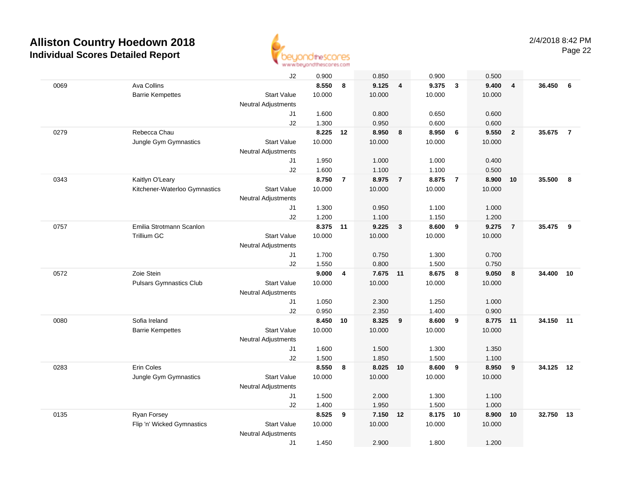

|      |                                | J2                         | 0.900    |                | 0.850    |                | 0.900  |                | 0.500  |                |           |                |
|------|--------------------------------|----------------------------|----------|----------------|----------|----------------|--------|----------------|--------|----------------|-----------|----------------|
| 0069 | Ava Collins                    |                            | 8.550    | 8              | 9.125    | $\overline{4}$ | 9.375  | $\mathbf{3}$   | 9.400  | $\overline{4}$ | 36.450    | 6              |
|      | <b>Barrie Kempettes</b>        | <b>Start Value</b>         | 10.000   |                | 10.000   |                | 10.000 |                | 10.000 |                |           |                |
|      |                                | <b>Neutral Adjustments</b> |          |                |          |                |        |                |        |                |           |                |
|      |                                | J1                         | 1.600    |                | 0.800    |                | 0.650  |                | 0.600  |                |           |                |
|      |                                | J2                         | 1.300    |                | 0.950    |                | 0.600  |                | 0.600  |                |           |                |
| 0279 | Rebecca Chau                   |                            | 8.225    | 12             | 8.950    | 8              | 8.950  | 6              | 9.550  | $\overline{2}$ | 35.675    | $\overline{7}$ |
|      | Jungle Gym Gymnastics          | <b>Start Value</b>         | 10.000   |                | 10.000   |                | 10.000 |                | 10.000 |                |           |                |
|      |                                | <b>Neutral Adjustments</b> |          |                |          |                |        |                |        |                |           |                |
|      |                                | J1                         | 1.950    |                | 1.000    |                | 1.000  |                | 0.400  |                |           |                |
|      |                                | J2                         | 1.600    |                | 1.100    |                | 1.100  |                | 0.500  |                |           |                |
| 0343 | Kaitlyn O'Leary                |                            | 8.750    | $\overline{7}$ | 8.975    | $\overline{7}$ | 8.875  | $\overline{7}$ | 8.900  | 10             | 35.500    | 8              |
|      | Kitchener-Waterloo Gymnastics  | <b>Start Value</b>         | 10.000   |                | 10.000   |                | 10.000 |                | 10.000 |                |           |                |
|      |                                | <b>Neutral Adjustments</b> |          |                |          |                |        |                |        |                |           |                |
|      |                                | J1                         | 1.300    |                | 0.950    |                | 1.100  |                | 1.000  |                |           |                |
|      |                                | J2                         | 1.200    |                | 1.100    |                | 1.150  |                | 1.200  |                |           |                |
| 0757 | Emilia Strotmann Scanlon       |                            | 8.375 11 |                | 9.225    | $\mathbf{3}$   | 8.600  | 9              | 9.275  | $\overline{7}$ | 35.475    | - 9            |
|      | <b>Trillium GC</b>             | <b>Start Value</b>         | 10.000   |                | 10.000   |                | 10.000 |                | 10.000 |                |           |                |
|      |                                | <b>Neutral Adjustments</b> |          |                |          |                |        |                |        |                |           |                |
|      |                                | J1                         | 1.700    |                | 0.750    |                | 1.300  |                | 0.700  |                |           |                |
|      |                                | J2                         | 1.550    |                | 0.800    |                | 1.500  |                | 0.750  |                |           |                |
| 0572 | Zoie Stein                     |                            | 9.000    | 4              | 7.675 11 |                | 8.675  | 8              | 9.050  | 8              | 34.400    | 10             |
|      | <b>Pulsars Gymnastics Club</b> | <b>Start Value</b>         | 10.000   |                | 10.000   |                | 10.000 |                | 10.000 |                |           |                |
|      |                                | <b>Neutral Adjustments</b> |          |                |          |                |        |                |        |                |           |                |
|      |                                | J1                         | 1.050    |                | 2.300    |                | 1.250  |                | 1.000  |                |           |                |
|      |                                | J2                         | 0.950    |                | 2.350    |                | 1.400  |                | 0.900  |                |           |                |
| 0080 | Sofia Ireland                  |                            | 8.450    | 10             | 8.325    | 9              | 8.600  | 9              | 8.775  | 11             | 34.150    | 11             |
|      | <b>Barrie Kempettes</b>        | <b>Start Value</b>         | 10.000   |                | 10.000   |                | 10.000 |                | 10.000 |                |           |                |
|      |                                | <b>Neutral Adjustments</b> |          |                |          |                |        |                |        |                |           |                |
|      |                                | J1                         | 1.600    |                | 1.500    |                | 1.300  |                | 1.350  |                |           |                |
|      |                                | J2                         | 1.500    |                | 1.850    |                | 1.500  |                | 1.100  |                |           |                |
| 0283 | Erin Coles                     |                            | 8.550    | 8              | 8.025 10 |                | 8.600  | 9              | 8.950  | 9              | 34.125 12 |                |
|      | Jungle Gym Gymnastics          | <b>Start Value</b>         | 10.000   |                | 10.000   |                | 10.000 |                | 10.000 |                |           |                |
|      |                                | <b>Neutral Adjustments</b> |          |                |          |                |        |                |        |                |           |                |
|      |                                | J1                         | 1.500    |                | 2.000    |                | 1.300  |                | 1.100  |                |           |                |
|      |                                | J2                         | 1.400    |                | 1.950    |                | 1.500  |                | 1.000  |                |           |                |
| 0135 | <b>Ryan Forsey</b>             |                            | 8.525    | 9              | 7.150    | 12             | 8.175  | 10             | 8.900  | 10             | 32.750    | 13             |
|      | Flip 'n' Wicked Gymnastics     | <b>Start Value</b>         | 10.000   |                | 10.000   |                | 10.000 |                | 10.000 |                |           |                |
|      |                                | <b>Neutral Adjustments</b> |          |                |          |                |        |                |        |                |           |                |
|      |                                | J1                         | 1.450    |                | 2.900    |                | 1.800  |                | 1.200  |                |           |                |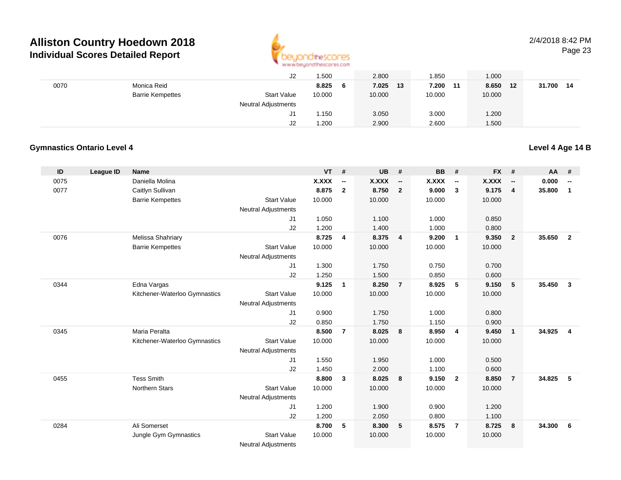

#### 2/4/2018 8:42 PMPage 23

|      |                         | J2                         | 1.500  |   | 2.800  |    | .850   | 1.000          |    |        |    |
|------|-------------------------|----------------------------|--------|---|--------|----|--------|----------------|----|--------|----|
| 0070 | Monica Reid             |                            | 8.825  | 6 | 7.025  | 13 | 7.200  | 8.650<br>$-11$ | 12 | 31.700 | 14 |
|      | <b>Barrie Kempettes</b> | <b>Start Value</b>         | 10.000 |   | 10.000 |    | 10.000 | 10.000         |    |        |    |
|      |                         | <b>Neutral Adjustments</b> |        |   |        |    |        |                |    |        |    |
|      |                         | J1                         | l.150  |   | 3.050  |    | 3.000  | 1.200          |    |        |    |
|      |                         | J2                         | 1.200  |   | 2.900  |    | 2.600  | 1.500          |    |        |    |

#### **Gymnastics Ontario Level 4**

#### **Level 4 Age 14 B**

| ID   | <b>League ID</b> | <b>Name</b>                   |                            | <b>VT</b>    | #                        | <b>UB</b>    | #                        | <b>BB</b>    | #                        | <b>FX</b> | #                        | AA     | #                        |
|------|------------------|-------------------------------|----------------------------|--------------|--------------------------|--------------|--------------------------|--------------|--------------------------|-----------|--------------------------|--------|--------------------------|
| 0075 |                  | Daniella Molina               |                            | <b>X.XXX</b> | $\overline{\phantom{a}}$ | <b>X.XXX</b> | $\overline{\phantom{a}}$ | <b>X.XXX</b> | $\overline{\phantom{a}}$ | X.XXX     | $\overline{\phantom{a}}$ | 0.000  | $\overline{\phantom{a}}$ |
| 0077 |                  | Caitlyn Sullivan              |                            | 8.875        | $\mathbf{2}$             | 8.750        | $\overline{2}$           | 9.000        | 3                        | 9.175     | $\overline{\mathbf{4}}$  | 35.800 | $\mathbf{1}$             |
|      |                  | <b>Barrie Kempettes</b>       | <b>Start Value</b>         | 10.000       |                          | 10.000       |                          | 10.000       |                          | 10.000    |                          |        |                          |
|      |                  |                               | <b>Neutral Adjustments</b> |              |                          |              |                          |              |                          |           |                          |        |                          |
|      |                  |                               | J1                         | 1.050        |                          | 1.100        |                          | 1.000        |                          | 0.850     |                          |        |                          |
|      |                  |                               | J2                         | 1.200        |                          | 1.400        |                          | 1.000        |                          | 0.800     |                          |        |                          |
| 0076 |                  | Melissa Shahriary             |                            | 8.725        | $\overline{4}$           | 8.375        | $\overline{4}$           | 9.200        | $\overline{1}$           | 9.350     | $\overline{2}$           | 35.650 | $\overline{2}$           |
|      |                  | <b>Barrie Kempettes</b>       | <b>Start Value</b>         | 10.000       |                          | 10.000       |                          | 10.000       |                          | 10.000    |                          |        |                          |
|      |                  |                               | Neutral Adjustments        |              |                          |              |                          |              |                          |           |                          |        |                          |
|      |                  |                               | J1                         | 1.300        |                          | 1.750        |                          | 0.750        |                          | 0.700     |                          |        |                          |
|      |                  |                               | J2                         | 1.250        |                          | 1.500        |                          | 0.850        |                          | 0.600     |                          |        |                          |
| 0344 |                  | Edna Vargas                   |                            | 9.125        | 1                        | 8.250        | $\overline{7}$           | 8.925        | 5                        | 9.150     | 5                        | 35.450 | $\mathbf{3}$             |
|      |                  | Kitchener-Waterloo Gymnastics | <b>Start Value</b>         | 10.000       |                          | 10.000       |                          | 10.000       |                          | 10.000    |                          |        |                          |
|      |                  |                               | <b>Neutral Adjustments</b> |              |                          |              |                          |              |                          |           |                          |        |                          |
|      |                  |                               | J1                         | 0.900        |                          | 1.750        |                          | 1.000        |                          | 0.800     |                          |        |                          |
|      |                  |                               | J2                         | 0.850        |                          | 1.750        |                          | 1.150        |                          | 0.900     |                          |        |                          |
| 0345 |                  | Maria Peralta                 |                            | 8.500        | $\overline{7}$           | 8.025        | 8                        | 8.950        | $\overline{4}$           | 9.450     | $\overline{1}$           | 34.925 | $\overline{4}$           |
|      |                  | Kitchener-Waterloo Gymnastics | <b>Start Value</b>         | 10.000       |                          | 10.000       |                          | 10.000       |                          | 10.000    |                          |        |                          |
|      |                  |                               | <b>Neutral Adjustments</b> |              |                          |              |                          |              |                          |           |                          |        |                          |
|      |                  |                               | J1                         | 1.550        |                          | 1.950        |                          | 1.000        |                          | 0.500     |                          |        |                          |
|      |                  |                               | J2                         | 1.450        |                          | 2.000        |                          | 1.100        |                          | 0.600     |                          |        |                          |
| 0455 |                  | <b>Tess Smith</b>             |                            | 8.800        | 3                        | 8.025        | 8                        | 9.150        | $\overline{\mathbf{2}}$  | 8.850     | $\overline{7}$           | 34.825 | 5                        |
|      |                  | Northern Stars                | <b>Start Value</b>         | 10.000       |                          | 10.000       |                          | 10.000       |                          | 10.000    |                          |        |                          |
|      |                  |                               | Neutral Adjustments        |              |                          |              |                          |              |                          |           |                          |        |                          |
|      |                  |                               | J1                         | 1.200        |                          | 1.900        |                          | 0.900        |                          | 1.200     |                          |        |                          |
|      |                  |                               | J2                         | 1.200        |                          | 2.050        |                          | 0.800        |                          | 1.100     |                          |        |                          |
| 0284 |                  | Ali Somerset                  |                            | 8.700        | 5                        | 8.300        | 5                        | 8.575        | $\overline{7}$           | 8.725     | - 8                      | 34.300 | 6                        |
|      |                  | Jungle Gym Gymnastics         | <b>Start Value</b>         | 10.000       |                          | 10.000       |                          | 10.000       |                          | 10.000    |                          |        |                          |
|      |                  |                               | <b>Neutral Adjustments</b> |              |                          |              |                          |              |                          |           |                          |        |                          |